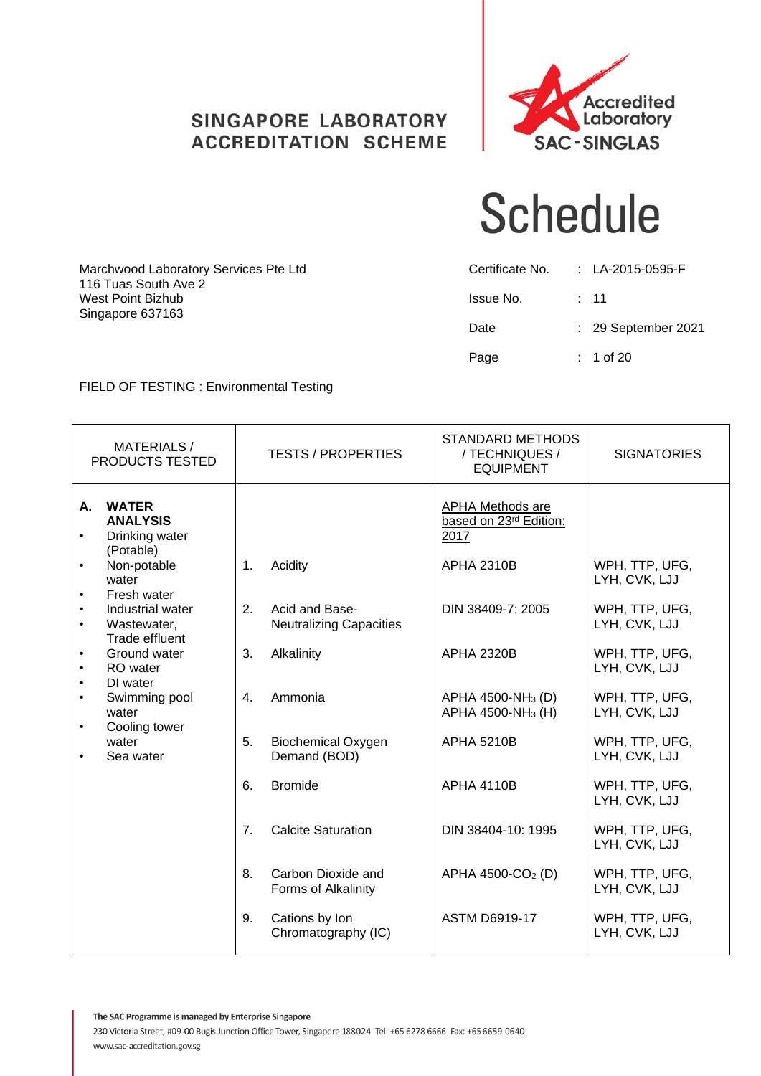### **SINGAPORE LABORATORY ACCREDITATION SCHEME**



## **Schedule**

| Marchwood Laboratory Services Pte Ltd<br>116 Tuas South Ave 2 | Certificate No. | : LA-2015-0595-F    |
|---------------------------------------------------------------|-----------------|---------------------|
| West Point Bizhub                                             | Issue No.       | $\div$ 11           |
| Singapore 637163                                              | Date            | : 29 September 2021 |
|                                                               | Page            | $: 1$ of 20         |

### FIELD OF TESTING : Environmental Testing

| <b>MATERIALS/</b><br>PRODUCTS TESTED                                                                                                                                                                                                                                                                                                                         | <b>TESTS / PROPERTIES</b>                                                                                                                                                                                                                                                                             | <b>STANDARD METHODS</b><br>/ TECHNIQUES /<br><b>EQUIPMENT</b>                                                                                                                                                                                                                               | <b>SIGNATORIES</b>                                                                                                                                                                                                                                                                   |
|--------------------------------------------------------------------------------------------------------------------------------------------------------------------------------------------------------------------------------------------------------------------------------------------------------------------------------------------------------------|-------------------------------------------------------------------------------------------------------------------------------------------------------------------------------------------------------------------------------------------------------------------------------------------------------|---------------------------------------------------------------------------------------------------------------------------------------------------------------------------------------------------------------------------------------------------------------------------------------------|--------------------------------------------------------------------------------------------------------------------------------------------------------------------------------------------------------------------------------------------------------------------------------------|
| <b>WATER</b><br>А.<br><b>ANALYSIS</b><br>Drinking water<br>(Potable)<br>Non-potable<br>water<br>Fresh water<br>٠<br>Industrial water<br>$\bullet$<br>Wastewater,<br>$\bullet$<br>Trade effluent<br>Ground water<br>$\bullet$<br>RO water<br>$\bullet$<br>DI water<br>$\bullet$<br>Swimming pool<br>water<br>Cooling tower<br>$\bullet$<br>water<br>Sea water | Acidity<br>$\mathbf{1}$ .<br>2.<br>Acid and Base-<br><b>Neutralizing Capacities</b><br>Alkalinity<br>3.<br>Ammonia<br>4.<br>5.<br><b>Biochemical Oxygen</b><br>Demand (BOD)<br>6.<br><b>Bromide</b><br>7 <sub>1</sub><br><b>Calcite Saturation</b><br>8.<br>Carbon Dioxide and<br>Forms of Alkalinity | <b>APHA Methods are</b><br>based on 23rd Edition:<br>2017<br><b>APHA 2310B</b><br>DIN 38409-7: 2005<br><b>APHA 2320B</b><br>APHA 4500-NH <sub>3</sub> (D)<br>APHA 4500-NH <sub>3</sub> (H)<br><b>APHA 5210B</b><br><b>APHA 4110B</b><br>DIN 38404-10: 1995<br>APHA 4500-CO <sub>2</sub> (D) | WPH, TTP, UFG,<br>LYH, CVK, LJJ<br>WPH, TTP, UFG,<br>LYH, CVK, LJJ<br>WPH, TTP, UFG,<br>LYH, CVK, LJJ<br>WPH, TTP, UFG,<br>LYH, CVK, LJJ<br>WPH, TTP, UFG,<br>LYH, CVK, LJJ<br>WPH, TTP, UFG,<br>LYH, CVK, LJJ<br>WPH, TTP, UFG,<br>LYH, CVK, LJJ<br>WPH, TTP, UFG,<br>LYH, CVK, LJJ |
|                                                                                                                                                                                                                                                                                                                                                              | Cations by Ion<br>9.<br>Chromatography (IC)                                                                                                                                                                                                                                                           | <b>ASTM D6919-17</b>                                                                                                                                                                                                                                                                        | WPH, TTP, UFG,<br>LYH, CVK, LJJ                                                                                                                                                                                                                                                      |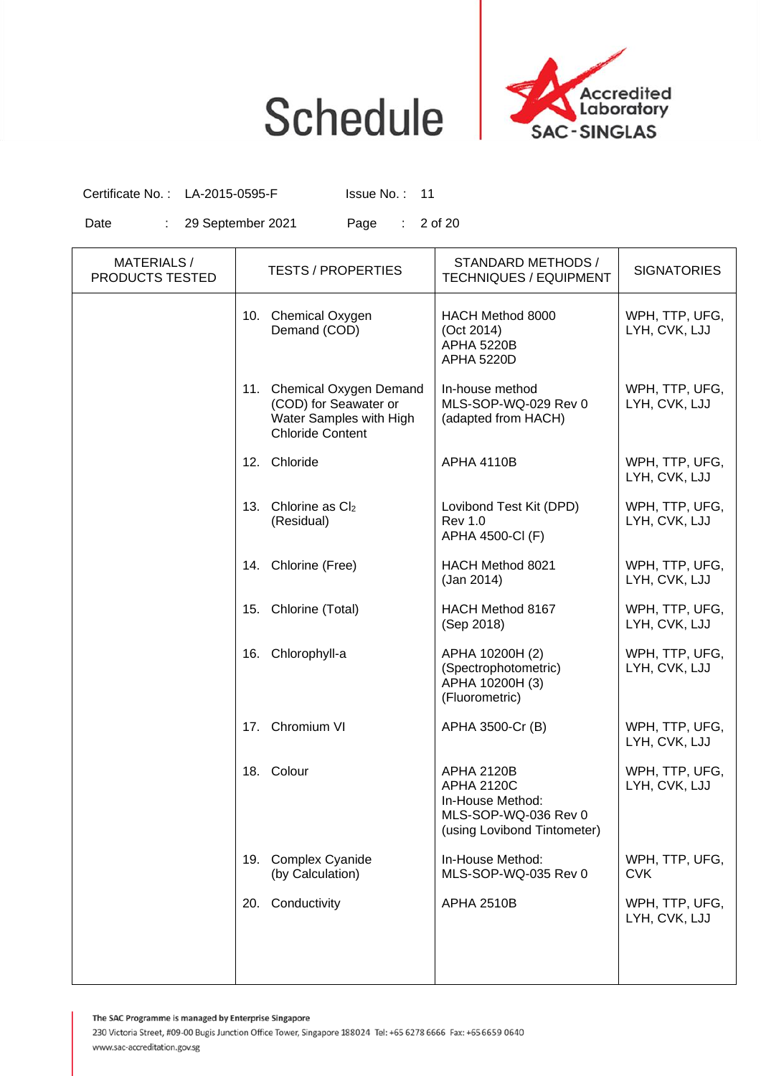

Certificate No.: LA-2015-0595-F Issue No.: 11

Date : 29 September 2021 Page : 2 of 20

| <b>MATERIALS/</b><br>PRODUCTS TESTED | <b>TESTS / PROPERTIES</b>                                                                                 | STANDARD METHODS /<br><b>TECHNIQUES / EQUIPMENT</b>                                                               | <b>SIGNATORIES</b>              |
|--------------------------------------|-----------------------------------------------------------------------------------------------------------|-------------------------------------------------------------------------------------------------------------------|---------------------------------|
|                                      | 10. Chemical Oxygen<br>Demand (COD)                                                                       | HACH Method 8000<br>(Oct 2014)<br><b>APHA 5220B</b><br><b>APHA 5220D</b>                                          | WPH, TTP, UFG,<br>LYH, CVK, LJJ |
|                                      | 11. Chemical Oxygen Demand<br>(COD) for Seawater or<br>Water Samples with High<br><b>Chloride Content</b> | In-house method<br>MLS-SOP-WQ-029 Rev 0<br>(adapted from HACH)                                                    | WPH, TTP, UFG,<br>LYH, CVK, LJJ |
|                                      | 12. Chloride                                                                                              | <b>APHA 4110B</b>                                                                                                 | WPH, TTP, UFG,<br>LYH, CVK, LJJ |
|                                      | 13. Chlorine as $Cl2$<br>(Residual)                                                                       | Lovibond Test Kit (DPD)<br><b>Rev 1.0</b><br>APHA 4500-CI (F)                                                     | WPH, TTP, UFG,<br>LYH, CVK, LJJ |
|                                      | 14. Chlorine (Free)                                                                                       | HACH Method 8021<br>(Jan 2014)                                                                                    | WPH, TTP, UFG,<br>LYH, CVK, LJJ |
|                                      | 15. Chlorine (Total)                                                                                      | HACH Method 8167<br>(Sep 2018)                                                                                    | WPH, TTP, UFG,<br>LYH, CVK, LJJ |
|                                      | Chlorophyll-a<br>16.                                                                                      | APHA 10200H (2)<br>(Spectrophotometric)<br>APHA 10200H (3)<br>(Fluorometric)                                      | WPH, TTP, UFG,<br>LYH, CVK, LJJ |
|                                      | 17. Chromium VI                                                                                           | APHA 3500-Cr (B)                                                                                                  | WPH, TTP, UFG,<br>LYH, CVK, LJJ |
|                                      | 18. Colour                                                                                                | <b>APHA 2120B</b><br><b>APHA 2120C</b><br>In-House Method:<br>MLS-SOP-WQ-036 Rev 0<br>(using Lovibond Tintometer) | WPH, TTP, UFG,<br>LYH, CVK, LJJ |
|                                      | 19. Complex Cyanide<br>(by Calculation)                                                                   | In-House Method:<br>MLS-SOP-WQ-035 Rev 0                                                                          | WPH, TTP, UFG,<br><b>CVK</b>    |
|                                      | Conductivity<br>20.                                                                                       | <b>APHA 2510B</b>                                                                                                 | WPH, TTP, UFG,<br>LYH, CVK, LJJ |
|                                      |                                                                                                           |                                                                                                                   |                                 |

The SAC Programme is managed by Enterprise Singapore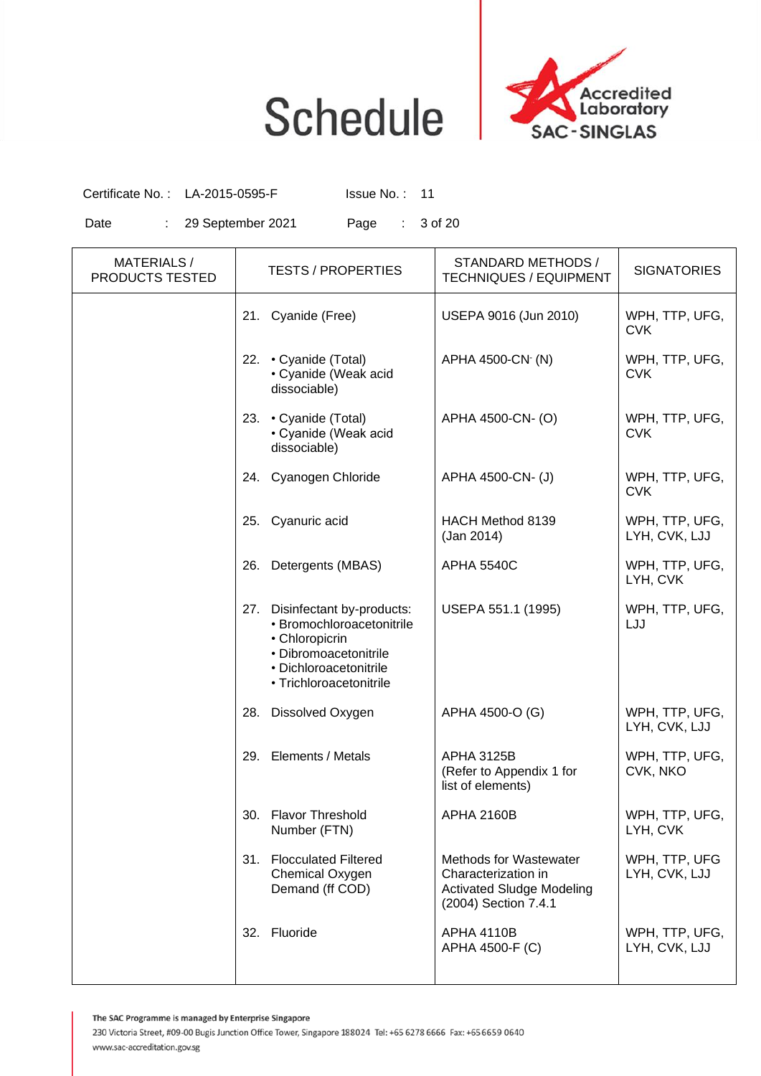

Certificate No.: LA-2015-0595-F Issue No.: 11

Date : 29 September 2021 Page : 3 of 20

| <b>MATERIALS/</b><br>PRODUCTS TESTED | <b>TESTS / PROPERTIES</b>                                                                                                                                  | STANDARD METHODS /<br><b>TECHNIQUES / EQUIPMENT</b>                                                              | <b>SIGNATORIES</b>              |
|--------------------------------------|------------------------------------------------------------------------------------------------------------------------------------------------------------|------------------------------------------------------------------------------------------------------------------|---------------------------------|
|                                      | 21. Cyanide (Free)                                                                                                                                         | USEPA 9016 (Jun 2010)                                                                                            | WPH, TTP, UFG,<br><b>CVK</b>    |
|                                      | 22. • Cyanide (Total)<br>• Cyanide (Weak acid<br>dissociable)                                                                                              | APHA 4500-CN (N)                                                                                                 | WPH, TTP, UFG,<br><b>CVK</b>    |
|                                      | 23. Cyanide (Total)<br>• Cyanide (Weak acid<br>dissociable)                                                                                                | APHA 4500-CN- (O)                                                                                                | WPH, TTP, UFG,<br><b>CVK</b>    |
|                                      | 24. Cyanogen Chloride                                                                                                                                      | APHA 4500-CN- (J)                                                                                                | WPH, TTP, UFG,<br><b>CVK</b>    |
|                                      | 25. Cyanuric acid                                                                                                                                          | HACH Method 8139<br>(Jan 2014)                                                                                   | WPH, TTP, UFG,<br>LYH, CVK, LJJ |
|                                      | Detergents (MBAS)<br>26.                                                                                                                                   | <b>APHA 5540C</b>                                                                                                | WPH, TTP, UFG,<br>LYH, CVK      |
|                                      | 27. Disinfectant by-products:<br>· Bromochloroacetonitrile<br>• Chloropicrin<br>· Dibromoacetonitrile<br>• Dichloroacetonitrile<br>• Trichloroacetonitrile | USEPA 551.1 (1995)                                                                                               | WPH, TTP, UFG,<br>LJJ           |
|                                      | 28.<br>Dissolved Oxygen                                                                                                                                    | APHA 4500-O (G)                                                                                                  | WPH, TTP, UFG,<br>LYH, CVK, LJJ |
|                                      | Elements / Metals<br>29.                                                                                                                                   | <b>APHA 3125B</b><br>(Refer to Appendix 1 for<br>list of elements)                                               | WPH, TTP, UFG,<br>CVK, NKO      |
|                                      | 30.<br><b>Flavor Threshold</b><br>Number (FTN)                                                                                                             | <b>APHA 2160B</b>                                                                                                | WPH, TTP, UFG,<br>LYH, CVK      |
|                                      | 31.<br><b>Flocculated Filtered</b><br>Chemical Oxygen<br>Demand (ff COD)                                                                                   | <b>Methods for Wastewater</b><br>Characterization in<br><b>Activated Sludge Modeling</b><br>(2004) Section 7.4.1 | WPH, TTP, UFG<br>LYH, CVK, LJJ  |
|                                      | Fluoride<br>32.                                                                                                                                            | <b>APHA 4110B</b><br>APHA 4500-F (C)                                                                             | WPH, TTP, UFG,<br>LYH, CVK, LJJ |

The SAC Programme is managed by Enterprise Singapore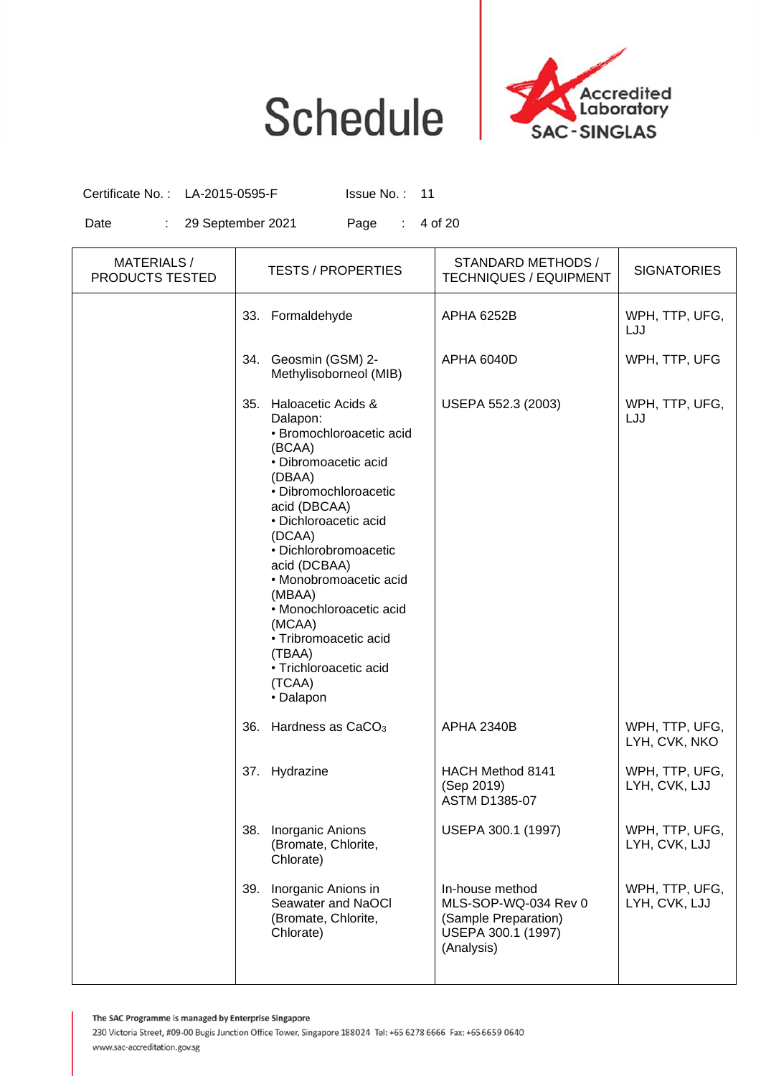

Certificate No.: LA-2015-0595-F Issue No.: 11

Date : 29 September 2021 Page : 4 of 20

| <b>MATERIALS/</b><br>PRODUCTS TESTED | <b>TESTS / PROPERTIES</b>                                                                                                                                                                                                                                                                                                                                                                       | STANDARD METHODS /<br><b>TECHNIQUES / EQUIPMENT</b>                                                 | <b>SIGNATORIES</b>              |
|--------------------------------------|-------------------------------------------------------------------------------------------------------------------------------------------------------------------------------------------------------------------------------------------------------------------------------------------------------------------------------------------------------------------------------------------------|-----------------------------------------------------------------------------------------------------|---------------------------------|
|                                      | 33. Formaldehyde                                                                                                                                                                                                                                                                                                                                                                                | <b>APHA 6252B</b>                                                                                   | WPH, TTP, UFG,<br>LJJ           |
|                                      | Geosmin (GSM) 2-<br>34.<br>Methylisoborneol (MIB)                                                                                                                                                                                                                                                                                                                                               | <b>APHA 6040D</b>                                                                                   | WPH, TTP, UFG                   |
|                                      | Haloacetic Acids &<br>35.<br>Dalapon:<br>· Bromochloroacetic acid<br>(BCAA)<br>· Dibromoacetic acid<br>(DBAA)<br>· Dibromochloroacetic<br>acid (DBCAA)<br>· Dichloroacetic acid<br>(DCAA)<br>· Dichlorobromoacetic<br>acid (DCBAA)<br>· Monobromoacetic acid<br>(MBAA)<br>· Monochloroacetic acid<br>(MCAA)<br>· Tribromoacetic acid<br>(TBAA)<br>· Trichloroacetic acid<br>(TCAA)<br>• Dalapon | USEPA 552.3 (2003)                                                                                  | WPH, TTP, UFG,<br>LJJ           |
|                                      | 36.<br>Hardness as CaCO <sub>3</sub>                                                                                                                                                                                                                                                                                                                                                            | <b>APHA 2340B</b>                                                                                   | WPH, TTP, UFG,<br>LYH, CVK, NKO |
|                                      | Hydrazine<br>37.                                                                                                                                                                                                                                                                                                                                                                                | HACH Method 8141<br>(Sep 2019)<br><b>ASTM D1385-07</b>                                              | WPH, TTP, UFG,<br>LYH, CVK, LJJ |
|                                      | 38.<br>Inorganic Anions<br>(Bromate, Chlorite,<br>Chlorate)                                                                                                                                                                                                                                                                                                                                     | USEPA 300.1 (1997)                                                                                  | WPH, TTP, UFG,<br>LYH, CVK, LJJ |
|                                      | 39.<br>Inorganic Anions in<br>Seawater and NaOCI<br>(Bromate, Chlorite,<br>Chlorate)                                                                                                                                                                                                                                                                                                            | In-house method<br>MLS-SOP-WQ-034 Rev 0<br>(Sample Preparation)<br>USEPA 300.1 (1997)<br>(Analysis) | WPH, TTP, UFG,<br>LYH, CVK, LJJ |

The SAC Programme is managed by Enterprise Singapore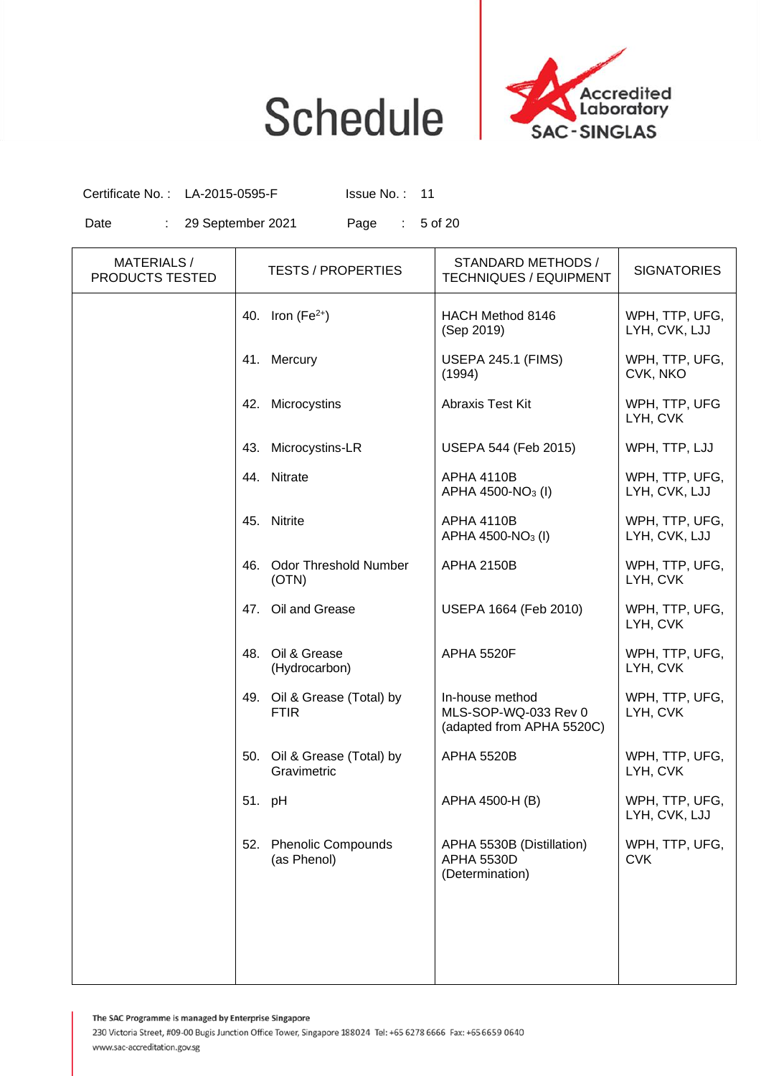

Certificate No. : LA-2015-0595-F Issue No. : 11

Date : 29 September 2021 Page : 5 of 20

| <b>MATERIALS/</b><br>PRODUCTS TESTED |                                   | <b>TESTS / PROPERTIES</b>    | STANDARD METHODS /<br><b>TECHNIQUES / EQUIPMENT</b>                  | <b>SIGNATORIES</b>              |
|--------------------------------------|-----------------------------------|------------------------------|----------------------------------------------------------------------|---------------------------------|
|                                      | 40. Iron ( $Fe2+$ )               |                              | HACH Method 8146<br>(Sep 2019)                                       | WPH, TTP, UFG,<br>LYH, CVK, LJJ |
|                                      | 41. Mercury                       |                              | <b>USEPA 245.1 (FIMS)</b><br>(1994)                                  | WPH, TTP, UFG,<br>CVK, NKO      |
|                                      | Microcystins<br>42.               |                              | Abraxis Test Kit                                                     | WPH, TTP, UFG<br>LYH, CVK       |
|                                      | 43.                               | Microcystins-LR              | USEPA 544 (Feb 2015)                                                 | WPH, TTP, LJJ                   |
|                                      | 44. Nitrate                       |                              | <b>APHA 4110B</b><br>APHA 4500-NO <sub>3</sub> (I)                   | WPH, TTP, UFG,<br>LYH, CVK, LJJ |
|                                      | 45. Nitrite                       |                              | <b>APHA 4110B</b><br>APHA 4500-NO <sub>3</sub> (I)                   | WPH, TTP, UFG,<br>LYH, CVK, LJJ |
|                                      | 46.<br>(OTN)                      | <b>Odor Threshold Number</b> | <b>APHA 2150B</b>                                                    | WPH, TTP, UFG,<br>LYH, CVK      |
|                                      | 47. Oil and Grease                |                              | USEPA 1664 (Feb 2010)                                                | WPH, TTP, UFG,<br>LYH, CVK      |
|                                      | 48. Oil & Grease<br>(Hydrocarbon) |                              | <b>APHA 5520F</b>                                                    | WPH, TTP, UFG,<br>LYH, CVK      |
|                                      | <b>FTIR</b>                       | 49. Oil & Grease (Total) by  | In-house method<br>MLS-SOP-WQ-033 Rev 0<br>(adapted from APHA 5520C) | WPH, TTP, UFG,<br>LYH, CVK      |
|                                      | Gravimetric                       | 50. Oil & Grease (Total) by  | <b>APHA 5520B</b>                                                    | WPH, TTP, UFG,<br>LYH, CVK      |
|                                      | 51. pH                            |                              | APHA 4500-H (B)                                                      | WPH, TTP, UFG,<br>LYH, CVK, LJJ |
|                                      | 52.<br>(as Phenol)                | <b>Phenolic Compounds</b>    | APHA 5530B (Distillation)<br><b>APHA 5530D</b><br>(Determination)    | WPH, TTP, UFG,<br><b>CVK</b>    |
|                                      |                                   |                              |                                                                      |                                 |
|                                      |                                   |                              |                                                                      |                                 |

The SAC Programme is managed by Enterprise Singapore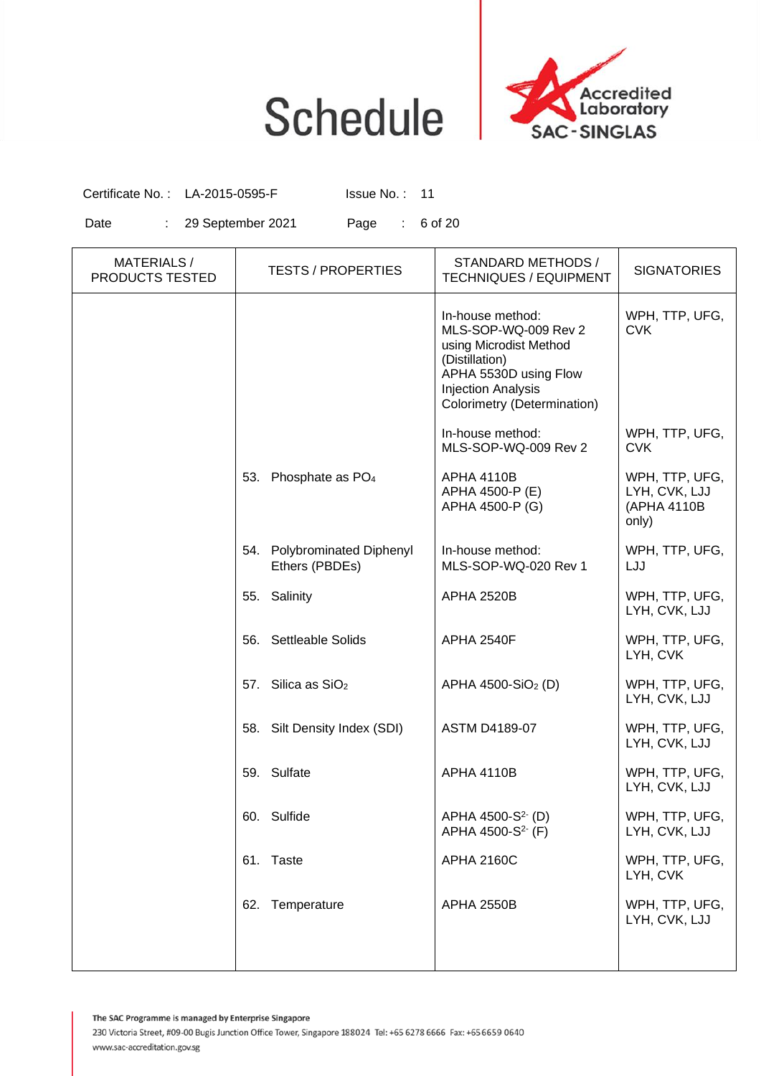

Certificate No. : LA-2015-0595-F Issue No. : 11

Date : 29 September 2021 Page : 6 of 20

| <b>MATERIALS/</b><br>PRODUCTS TESTED |     | <b>TESTS / PROPERTIES</b>                     | STANDARD METHODS /<br><b>TECHNIQUES / EQUIPMENT</b>                                                                                                                       | <b>SIGNATORIES</b>                                      |
|--------------------------------------|-----|-----------------------------------------------|---------------------------------------------------------------------------------------------------------------------------------------------------------------------------|---------------------------------------------------------|
|                                      |     |                                               | In-house method:<br>MLS-SOP-WQ-009 Rev 2<br>using Microdist Method<br>(Distillation)<br>APHA 5530D using Flow<br><b>Injection Analysis</b><br>Colorimetry (Determination) | WPH, TTP, UFG,<br><b>CVK</b>                            |
|                                      |     |                                               | In-house method:<br>MLS-SOP-WQ-009 Rev 2                                                                                                                                  | WPH, TTP, UFG,<br><b>CVK</b>                            |
|                                      |     | 53. Phosphate as PO <sub>4</sub>              | <b>APHA 4110B</b><br>APHA 4500-P (E)<br>APHA 4500-P (G)                                                                                                                   | WPH, TTP, UFG,<br>LYH, CVK, LJJ<br>(APHA 4110B<br>only) |
|                                      |     | 54. Polybrominated Diphenyl<br>Ethers (PBDEs) | In-house method:<br>MLS-SOP-WQ-020 Rev 1                                                                                                                                  | WPH, TTP, UFG,<br>LJJ                                   |
|                                      |     | 55. Salinity                                  | <b>APHA 2520B</b>                                                                                                                                                         | WPH, TTP, UFG,<br>LYH, CVK, LJJ                         |
|                                      |     | 56. Settleable Solids                         | APHA 2540F                                                                                                                                                                | WPH, TTP, UFG,<br>LYH, CVK                              |
|                                      |     | 57. Silica as SiO <sub>2</sub>                | APHA 4500-SiO <sub>2</sub> (D)                                                                                                                                            | WPH, TTP, UFG,<br>LYH, CVK, LJJ                         |
|                                      |     | 58. Silt Density Index (SDI)                  | <b>ASTM D4189-07</b>                                                                                                                                                      | WPH, TTP, UFG,<br>LYH, CVK, LJJ                         |
|                                      |     | 59. Sulfate                                   | <b>APHA 4110B</b>                                                                                                                                                         | WPH, TTP, UFG,<br>LYH, CVK, LJJ                         |
|                                      | 60. | Sulfide                                       | APHA 4500-S <sup>2-</sup> (D)<br>APHA 4500-S <sup>2-</sup> (F)                                                                                                            | WPH, TTP, UFG,<br>LYH, CVK, LJJ                         |
|                                      |     | 61. Taste                                     | <b>APHA 2160C</b>                                                                                                                                                         | WPH, TTP, UFG,<br>LYH, CVK                              |
|                                      |     | 62. Temperature                               | <b>APHA 2550B</b>                                                                                                                                                         | WPH, TTP, UFG,<br>LYH, CVK, LJJ                         |
|                                      |     |                                               |                                                                                                                                                                           |                                                         |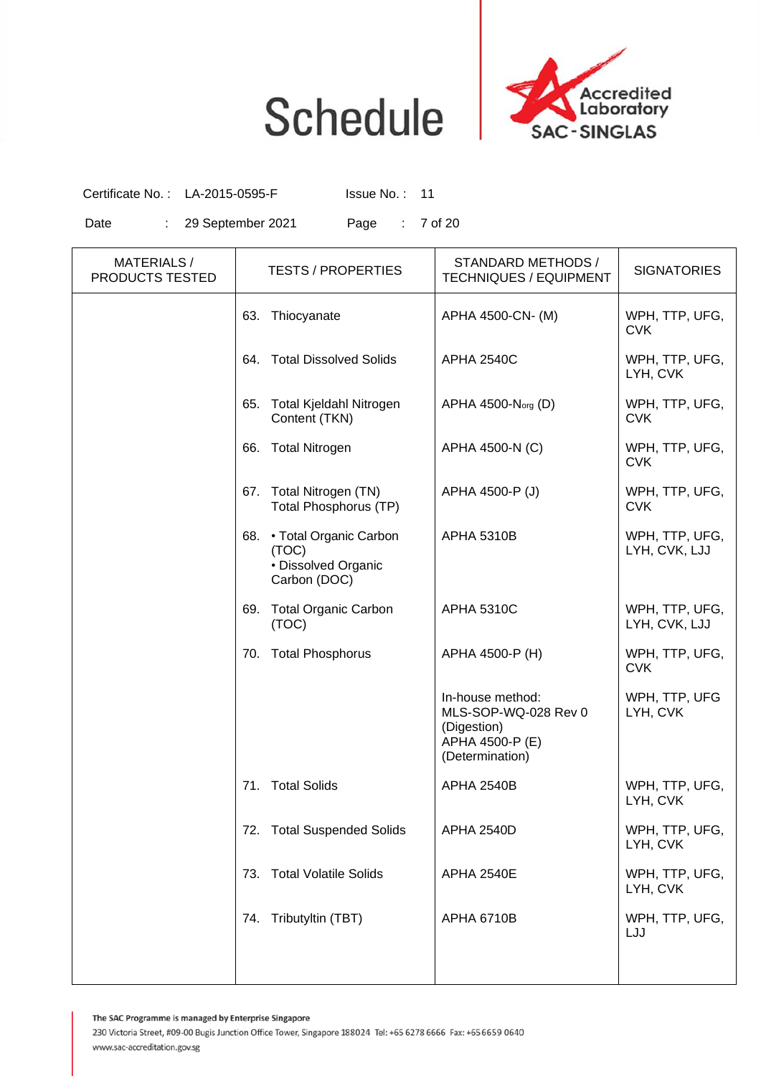

Certificate No. : LA-2015-0595-F Issue No. : 11

Date : 29 September 2021 Page : 7 of 20

| <b>MATERIALS/</b><br>PRODUCTS TESTED | <b>TESTS / PROPERTIES</b>                                                     | STANDARD METHODS /<br><b>TECHNIQUES / EQUIPMENT</b>                                           | <b>SIGNATORIES</b>              |
|--------------------------------------|-------------------------------------------------------------------------------|-----------------------------------------------------------------------------------------------|---------------------------------|
|                                      | 63.<br>Thiocyanate                                                            | APHA 4500-CN- (M)                                                                             | WPH, TTP, UFG,<br><b>CVK</b>    |
|                                      | 64. Total Dissolved Solids                                                    | <b>APHA 2540C</b>                                                                             | WPH, TTP, UFG,<br>LYH, CVK      |
|                                      | Total Kjeldahl Nitrogen<br>65.<br>Content (TKN)                               | APHA 4500-N <sub>org</sub> (D)                                                                | WPH, TTP, UFG,<br><b>CVK</b>    |
|                                      | <b>Total Nitrogen</b><br>66.                                                  | APHA 4500-N (C)                                                                               | WPH, TTP, UFG,<br><b>CVK</b>    |
|                                      | 67. Total Nitrogen (TN)<br>Total Phosphorus (TP)                              | APHA 4500-P (J)                                                                               | WPH, TTP, UFG,<br><b>CVK</b>    |
|                                      | • Total Organic Carbon<br>68.<br>(TOC)<br>· Dissolved Organic<br>Carbon (DOC) | <b>APHA 5310B</b>                                                                             | WPH, TTP, UFG,<br>LYH, CVK, LJJ |
|                                      | <b>Total Organic Carbon</b><br>69.<br>(TOC)                                   | <b>APHA 5310C</b>                                                                             | WPH, TTP, UFG,<br>LYH, CVK, LJJ |
|                                      | 70. Total Phosphorus                                                          | APHA 4500-P (H)                                                                               | WPH, TTP, UFG,<br><b>CVK</b>    |
|                                      |                                                                               | In-house method:<br>MLS-SOP-WQ-028 Rev 0<br>(Digestion)<br>APHA 4500-P (E)<br>(Determination) | WPH, TTP, UFG<br>LYH, CVK       |
|                                      | 71. Total Solids                                                              | <b>APHA 2540B</b>                                                                             | WPH, TTP, UFG,<br>LYH, CVK      |
|                                      | 72. Total Suspended Solids                                                    | <b>APHA 2540D</b>                                                                             | WPH, TTP, UFG,<br>LYH, CVK      |
|                                      | <b>Total Volatile Solids</b><br>73.                                           | <b>APHA 2540E</b>                                                                             | WPH, TTP, UFG,<br>LYH, CVK      |
|                                      | Tributyltin (TBT)<br>74.                                                      | <b>APHA 6710B</b>                                                                             | WPH, TTP, UFG,<br>LJJ           |
|                                      |                                                                               |                                                                                               |                                 |

The SAC Programme is managed by Enterprise Singapore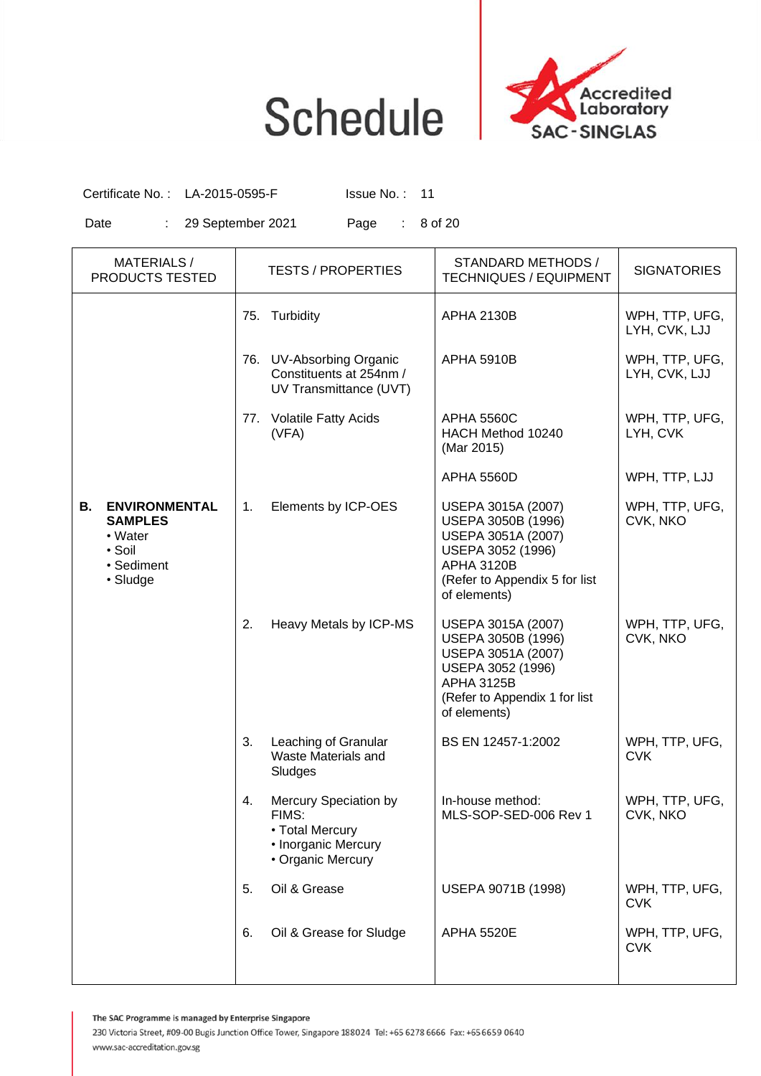

Certificate No.: LA-2015-0595-F Issue No.: 11

Date : 29 September 2021 Page : 8 of 20

| <b>MATERIALS/</b><br>PRODUCTS TESTED                                                        |     | <b>TESTS / PROPERTIES</b>                                                                     | STANDARD METHODS /<br><b>TECHNIQUES / EQUIPMENT</b>                                                                                                       | <b>SIGNATORIES</b>              |
|---------------------------------------------------------------------------------------------|-----|-----------------------------------------------------------------------------------------------|-----------------------------------------------------------------------------------------------------------------------------------------------------------|---------------------------------|
|                                                                                             | 75. | Turbidity                                                                                     | <b>APHA 2130B</b>                                                                                                                                         | WPH, TTP, UFG,<br>LYH, CVK, LJJ |
|                                                                                             |     | 76. UV-Absorbing Organic<br>Constituents at 254nm /<br>UV Transmittance (UVT)                 | <b>APHA 5910B</b>                                                                                                                                         | WPH, TTP, UFG,<br>LYH, CVK, LJJ |
|                                                                                             |     | 77. Volatile Fatty Acids<br>(VFA)                                                             | <b>APHA 5560C</b><br>HACH Method 10240<br>(Mar 2015)                                                                                                      | WPH, TTP, UFG,<br>LYH, CVK      |
|                                                                                             |     |                                                                                               | <b>APHA 5560D</b>                                                                                                                                         | WPH, TTP, LJJ                   |
| <b>ENVIRONMENTAL</b><br>В.<br><b>SAMPLES</b><br>• Water<br>• Soil<br>• Sediment<br>• Sludge | 1.  | Elements by ICP-OES                                                                           | USEPA 3015A (2007)<br>USEPA 3050B (1996)<br>USEPA 3051A (2007)<br>USEPA 3052 (1996)<br><b>APHA 3120B</b><br>(Refer to Appendix 5 for list<br>of elements) | WPH, TTP, UFG,<br>CVK, NKO      |
|                                                                                             | 2.  | Heavy Metals by ICP-MS                                                                        | USEPA 3015A (2007)<br>USEPA 3050B (1996)<br>USEPA 3051A (2007)<br>USEPA 3052 (1996)<br><b>APHA 3125B</b><br>(Refer to Appendix 1 for list<br>of elements) | WPH, TTP, UFG,<br>CVK, NKO      |
|                                                                                             | 3.  | Leaching of Granular<br>Waste Materials and<br>Sludges                                        | BS EN 12457-1:2002                                                                                                                                        | WPH, TTP, UFG,<br><b>CVK</b>    |
|                                                                                             | 4.  | Mercury Speciation by<br>FIMS:<br>• Total Mercury<br>• Inorganic Mercury<br>• Organic Mercury | In-house method:<br>MLS-SOP-SED-006 Rev 1                                                                                                                 | WPH, TTP, UFG,<br>CVK, NKO      |
|                                                                                             | 5.  | Oil & Grease                                                                                  | USEPA 9071B (1998)                                                                                                                                        | WPH, TTP, UFG,<br><b>CVK</b>    |
|                                                                                             | 6.  | Oil & Grease for Sludge                                                                       | <b>APHA 5520E</b>                                                                                                                                         | WPH, TTP, UFG,<br><b>CVK</b>    |

The SAC Programme is managed by Enterprise Singapore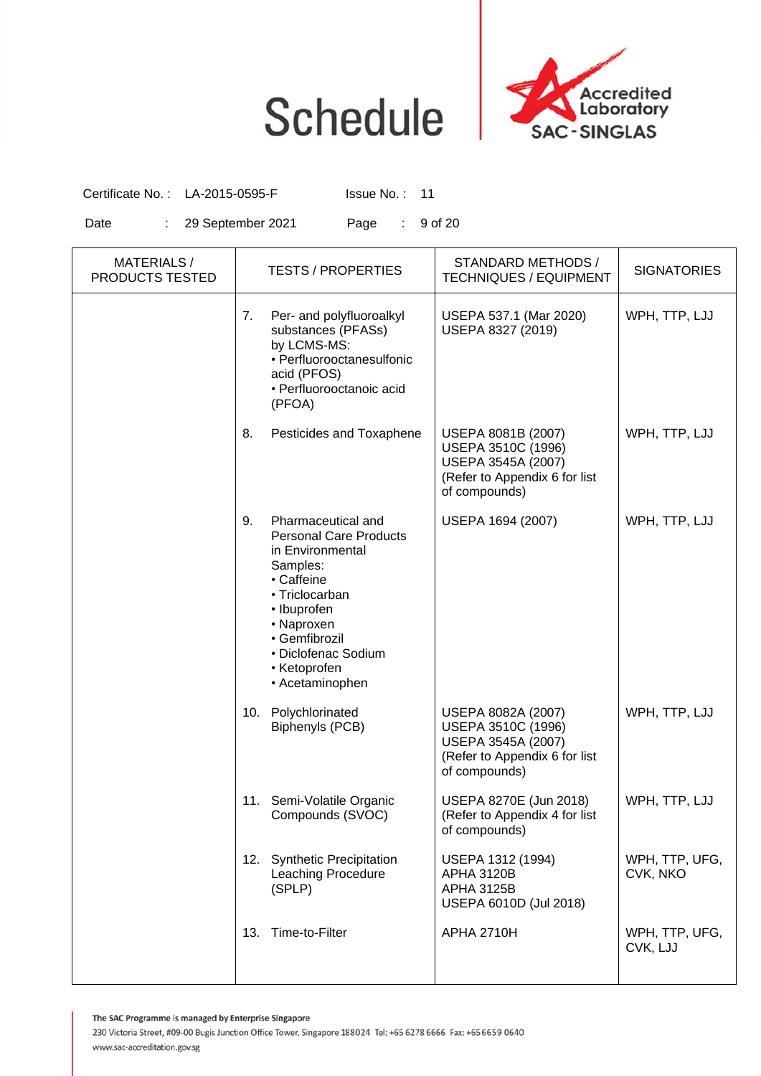

Certificate No.: LA-2015-0595-F Issue No.: 11

Date : 29 September 2021 Page : 9 of 20

| <b>MATERIALS/</b><br>PRODUCTS TESTED |     | <b>TESTS / PROPERTIES</b>                                                                                                                                                                                                   | STANDARD METHODS /<br><b>TECHNIQUES / EQUIPMENT</b>                                                              | <b>SIGNATORIES</b>         |
|--------------------------------------|-----|-----------------------------------------------------------------------------------------------------------------------------------------------------------------------------------------------------------------------------|------------------------------------------------------------------------------------------------------------------|----------------------------|
|                                      | 7.  | Per- and polyfluoroalkyl<br>substances (PFASs)<br>by LCMS-MS:<br>• Perfluorooctanesulfonic<br>acid (PFOS)<br>· Perfluorooctanoic acid<br>(PFOA)                                                                             | USEPA 537.1 (Mar 2020)<br>USEPA 8327 (2019)                                                                      | WPH, TTP, LJJ              |
|                                      | 8.  | Pesticides and Toxaphene                                                                                                                                                                                                    | USEPA 8081B (2007)<br>USEPA 3510C (1996)<br>USEPA 3545A (2007)<br>(Refer to Appendix 6 for list<br>of compounds) | WPH, TTP, LJJ              |
|                                      | 9.  | Pharmaceutical and<br><b>Personal Care Products</b><br>in Environmental<br>Samples:<br>• Caffeine<br>• Triclocarban<br>• Ibuprofen<br>• Naproxen<br>• Gemfibrozil<br>• Diclofenac Sodium<br>• Ketoprofen<br>• Acetaminophen | USEPA 1694 (2007)                                                                                                | WPH, TTP, LJJ              |
|                                      | 10. | Polychlorinated<br>Biphenyls (PCB)                                                                                                                                                                                          | USEPA 8082A (2007)<br>USEPA 3510C (1996)<br>USEPA 3545A (2007)<br>(Refer to Appendix 6 for list<br>of compounds) | WPH, TTP, LJJ              |
|                                      | 11. | Semi-Volatile Organic<br>Compounds (SVOC)                                                                                                                                                                                   | USEPA 8270E (Jun 2018)<br>(Refer to Appendix 4 for list<br>of compounds)                                         | WPH, TTP, LJJ              |
|                                      | 12. | <b>Synthetic Precipitation</b><br><b>Leaching Procedure</b><br>(SPLP)                                                                                                                                                       | USEPA 1312 (1994)<br><b>APHA 3120B</b><br><b>APHA 3125B</b><br>USEPA 6010D (Jul 2018)                            | WPH, TTP, UFG,<br>CVK, NKO |
|                                      | 13. | Time-to-Filter                                                                                                                                                                                                              | <b>APHA 2710H</b>                                                                                                | WPH, TTP, UFG,<br>CVK, LJJ |

The SAC Programme is managed by Enterprise Singapore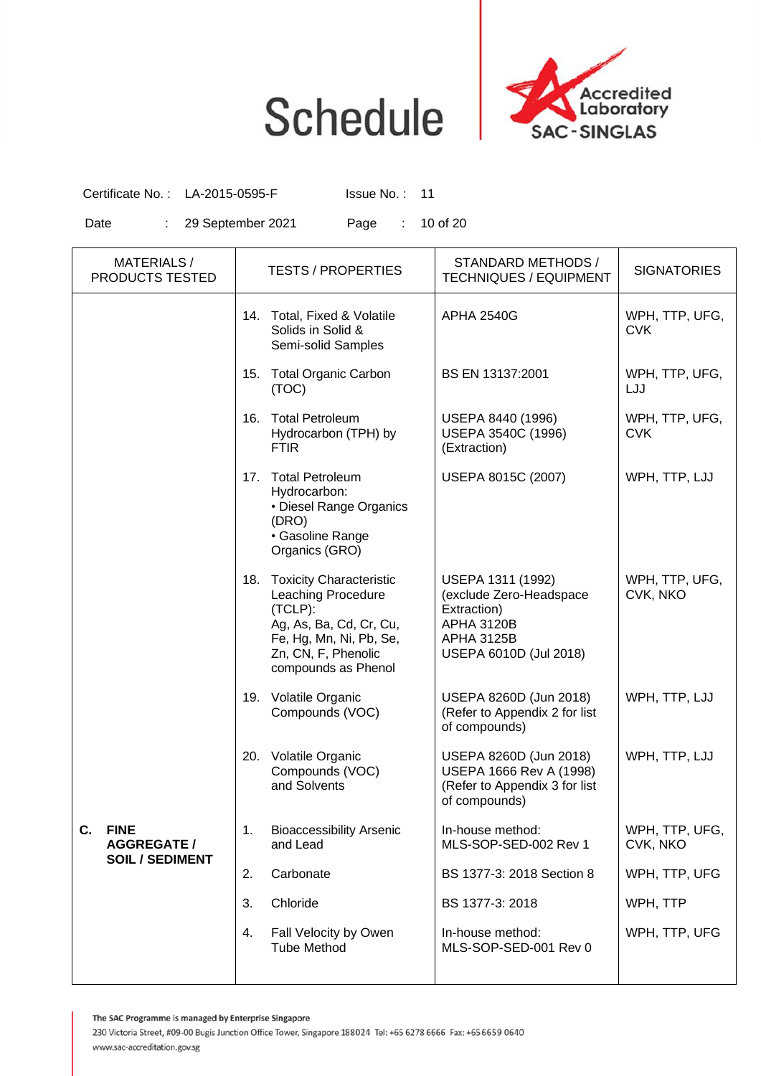

Certificate No.: LA-2015-0595-F Issue No.: 11

Date : 29 September 2021 Page : 10 of 20

| <b>MATERIALS/</b><br>PRODUCTS TESTED                              | <b>TESTS / PROPERTIES</b>                                                                                                                                               | STANDARD METHODS /<br><b>TECHNIQUES / EQUIPMENT</b>                                                                             | <b>SIGNATORIES</b>           |
|-------------------------------------------------------------------|-------------------------------------------------------------------------------------------------------------------------------------------------------------------------|---------------------------------------------------------------------------------------------------------------------------------|------------------------------|
|                                                                   | 14. Total, Fixed & Volatile<br>Solids in Solid &<br>Semi-solid Samples                                                                                                  | <b>APHA 2540G</b>                                                                                                               | WPH, TTP, UFG,<br><b>CVK</b> |
|                                                                   | <b>Total Organic Carbon</b><br>15.<br>(TOC)                                                                                                                             | BS EN 13137:2001                                                                                                                | WPH, TTP, UFG,<br>LJJ        |
|                                                                   | <b>Total Petroleum</b><br>16.<br>Hydrocarbon (TPH) by<br><b>FTIR</b>                                                                                                    | USEPA 8440 (1996)<br>USEPA 3540C (1996)<br>(Extraction)                                                                         | WPH, TTP, UFG,<br><b>CVK</b> |
|                                                                   | 17. Total Petroleum<br>Hydrocarbon:<br>• Diesel Range Organics<br>(DRO)<br>· Gasoline Range<br>Organics (GRO)                                                           | USEPA 8015C (2007)                                                                                                              | WPH, TTP, LJJ                |
|                                                                   | 18. Toxicity Characteristic<br><b>Leaching Procedure</b><br>(TCLP):<br>Ag, As, Ba, Cd, Cr, Cu,<br>Fe, Hg, Mn, Ni, Pb, Se,<br>Zn, CN, F, Phenolic<br>compounds as Phenol | USEPA 1311 (1992)<br>(exclude Zero-Headspace<br>Extraction)<br><b>APHA 3120B</b><br><b>APHA 3125B</b><br>USEPA 6010D (Jul 2018) | WPH, TTP, UFG,<br>CVK, NKO   |
|                                                                   | 19. Volatile Organic<br>Compounds (VOC)                                                                                                                                 | USEPA 8260D (Jun 2018)<br>(Refer to Appendix 2 for list<br>of compounds)                                                        | WPH, TTP, LJJ                |
|                                                                   | 20. Volatile Organic<br>Compounds (VOC)<br>and Solvents                                                                                                                 | USEPA 8260D (Jun 2018)<br>USEPA 1666 Rev A (1998)<br>(Refer to Appendix 3 for list<br>of compounds)                             | WPH, TTP, LJJ                |
| C.<br><b>FINE</b><br><b>AGGREGATE /</b><br><b>SOIL / SEDIMENT</b> | <b>Bioaccessibility Arsenic</b><br>1.<br>and Lead                                                                                                                       | In-house method:<br>MLS-SOP-SED-002 Rev 1                                                                                       | WPH, TTP, UFG,<br>CVK, NKO   |
|                                                                   | 2.<br>Carbonate                                                                                                                                                         | BS 1377-3: 2018 Section 8                                                                                                       | WPH, TTP, UFG                |
|                                                                   | Chloride<br>3.                                                                                                                                                          | BS 1377-3: 2018                                                                                                                 | WPH, TTP                     |
|                                                                   | Fall Velocity by Owen<br>4.<br><b>Tube Method</b>                                                                                                                       | In-house method:<br>MLS-SOP-SED-001 Rev 0                                                                                       | WPH, TTP, UFG                |

The SAC Programme is managed by Enterprise Singapore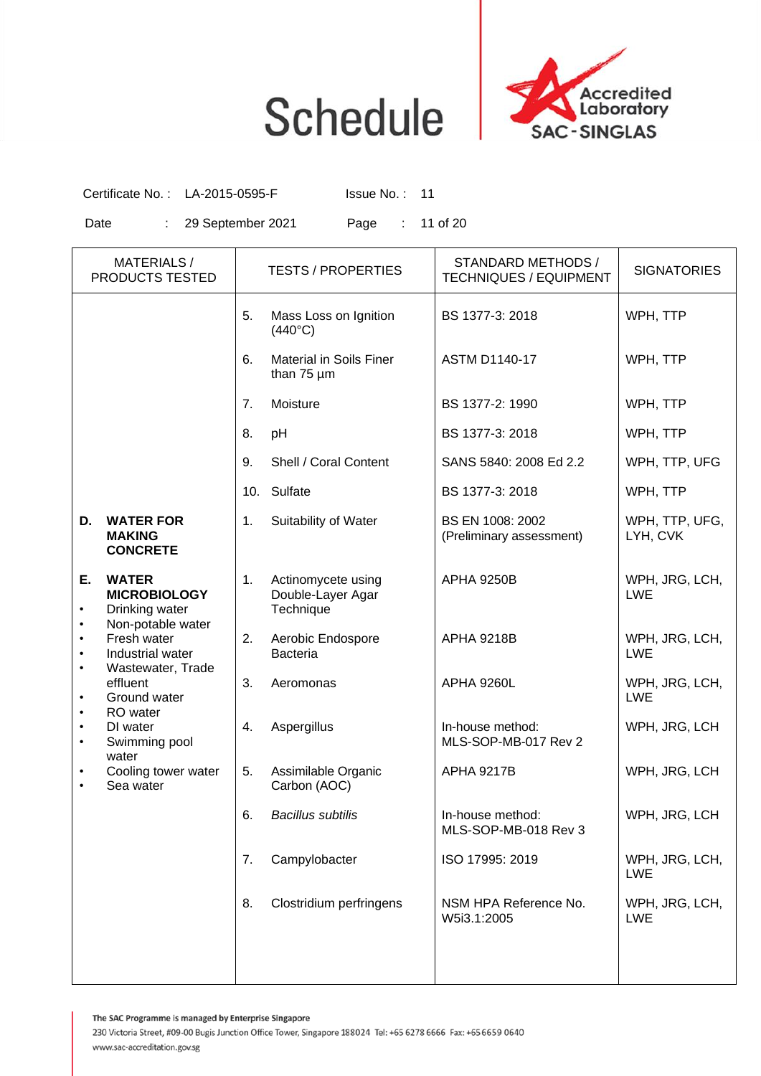

Certificate No.: LA-2015-0595-F Issue No.: 11

Date : 29 September 2021 Page : 11 of 20

|           | <b>MATERIALS/</b><br>PRODUCTS TESTED                                       |     | <b>TESTS / PROPERTIES</b>                            | STANDARD METHODS /<br><b>TECHNIQUES / EQUIPMENT</b> | <b>SIGNATORIES</b>           |
|-----------|----------------------------------------------------------------------------|-----|------------------------------------------------------|-----------------------------------------------------|------------------------------|
|           |                                                                            | 5.  | Mass Loss on Ignition<br>$(440^{\circ}C)$            | BS 1377-3: 2018                                     | WPH, TTP                     |
|           |                                                                            | 6.  | <b>Material in Soils Finer</b><br>than 75 um         | <b>ASTM D1140-17</b>                                | WPH, TTP                     |
|           |                                                                            | 7.  | Moisture                                             | BS 1377-2: 1990                                     | WPH, TTP                     |
|           |                                                                            | 8.  | pH                                                   | BS 1377-3: 2018                                     | WPH, TTP                     |
|           |                                                                            | 9.  | Shell / Coral Content                                | SANS 5840: 2008 Ed 2.2                              | WPH, TTP, UFG                |
|           |                                                                            | 10. | Sulfate                                              | BS 1377-3: 2018                                     | WPH, TTP                     |
| D.        | <b>WATER FOR</b><br><b>MAKING</b><br><b>CONCRETE</b>                       | 1.  | Suitability of Water                                 | BS EN 1008: 2002<br>(Preliminary assessment)        | WPH, TTP, UFG,<br>LYH, CVK   |
| Е.        | <b>WATER</b><br><b>MICROBIOLOGY</b><br>Drinking water<br>Non-potable water | 1.  | Actinomycete using<br>Double-Layer Agar<br>Technique | <b>APHA 9250B</b>                                   | WPH, JRG, LCH,<br><b>LWE</b> |
|           | Fresh water<br>Industrial water<br>Wastewater, Trade                       | 2.  | Aerobic Endospore<br><b>Bacteria</b>                 | <b>APHA 9218B</b>                                   | WPH, JRG, LCH,<br><b>LWE</b> |
|           | effluent<br>Ground water<br>RO water                                       | 3.  | Aeromonas                                            | <b>APHA 9260L</b>                                   | WPH, JRG, LCH,<br><b>LWE</b> |
| $\bullet$ | DI water<br>Swimming pool<br>water                                         | 4.  | Aspergillus                                          | In-house method:<br>MLS-SOP-MB-017 Rev 2            | WPH, JRG, LCH                |
|           | Cooling tower water<br>Sea water                                           | 5.  | Assimilable Organic<br>Carbon (AOC)                  | <b>APHA 9217B</b>                                   | WPH, JRG, LCH                |
|           |                                                                            | 6.  | <b>Bacillus subtilis</b>                             | In-house method:<br>MLS-SOP-MB-018 Rev 3            | WPH, JRG, LCH                |
|           |                                                                            | 7.  | Campylobacter                                        | ISO 17995: 2019                                     | WPH, JRG, LCH,<br><b>LWE</b> |
|           |                                                                            | 8.  | Clostridium perfringens                              | NSM HPA Reference No.<br>W5i3.1:2005                | WPH, JRG, LCH,<br><b>LWE</b> |
|           |                                                                            |     |                                                      |                                                     |                              |

The SAC Programme is managed by Enterprise Singapore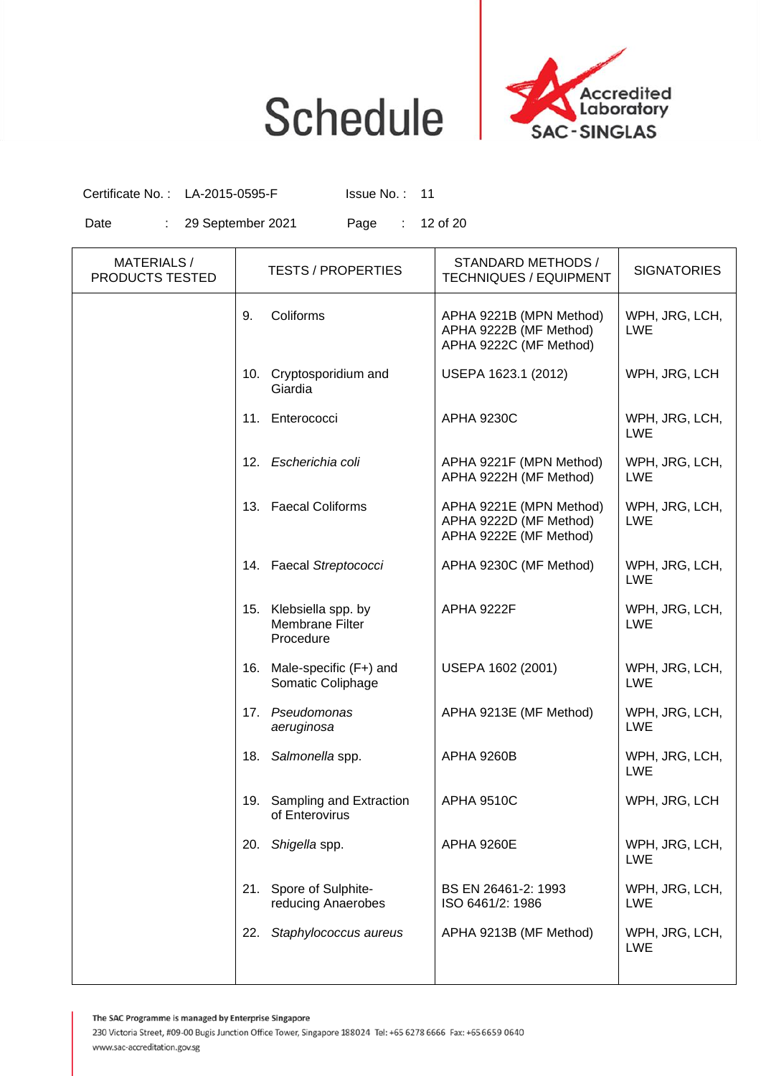

Certificate No.: LA-2015-0595-F Issue No.: 11

Date : 29 September 2021 Page : 12 of 20

| <b>MATERIALS/</b><br><b>PRODUCTS TESTED</b> | <b>TESTS / PROPERTIES</b>                                 | STANDARD METHODS /<br><b>TECHNIQUES / EQUIPMENT</b>                         | <b>SIGNATORIES</b>           |
|---------------------------------------------|-----------------------------------------------------------|-----------------------------------------------------------------------------|------------------------------|
|                                             | Coliforms<br>9.                                           | APHA 9221B (MPN Method)<br>APHA 9222B (MF Method)<br>APHA 9222C (MF Method) | WPH, JRG, LCH,<br><b>LWE</b> |
|                                             | 10. Cryptosporidium and<br>Giardia                        | USEPA 1623.1 (2012)                                                         | WPH, JRG, LCH                |
|                                             | 11.<br>Enterococci                                        | <b>APHA 9230C</b>                                                           | WPH, JRG, LCH,<br><b>LWE</b> |
|                                             | 12. Escherichia coli                                      | APHA 9221F (MPN Method)<br>APHA 9222H (MF Method)                           | WPH, JRG, LCH,<br><b>LWE</b> |
|                                             | 13. Faecal Coliforms                                      | APHA 9221E (MPN Method)<br>APHA 9222D (MF Method)<br>APHA 9222E (MF Method) | WPH, JRG, LCH,<br><b>LWE</b> |
|                                             | 14. Faecal Streptococci                                   | APHA 9230C (MF Method)                                                      | WPH, JRG, LCH,<br><b>LWE</b> |
|                                             | Klebsiella spp. by<br>15.<br>Membrane Filter<br>Procedure | <b>APHA 9222F</b>                                                           | WPH, JRG, LCH,<br><b>LWE</b> |
|                                             | 16. Male-specific (F+) and<br>Somatic Coliphage           | USEPA 1602 (2001)                                                           | WPH, JRG, LCH,<br><b>LWE</b> |
|                                             | 17. Pseudomonas<br>aeruginosa                             | APHA 9213E (MF Method)                                                      | WPH, JRG, LCH,<br><b>LWE</b> |
|                                             | 18. Salmonella spp.                                       | <b>APHA 9260B</b>                                                           | WPH, JRG, LCH,<br><b>LWE</b> |
|                                             | Sampling and Extraction<br>19.<br>of Enterovirus          | <b>APHA 9510C</b>                                                           | WPH, JRG, LCH                |
|                                             | 20. Shigella spp.                                         | <b>APHA 9260E</b>                                                           | WPH, JRG, LCH,<br><b>LWE</b> |
|                                             | Spore of Sulphite-<br>21.<br>reducing Anaerobes           | BS EN 26461-2: 1993<br>ISO 6461/2: 1986                                     | WPH, JRG, LCH,<br><b>LWE</b> |
|                                             | Staphylococcus aureus<br>22.                              | APHA 9213B (MF Method)                                                      | WPH, JRG, LCH,<br><b>LWE</b> |
|                                             |                                                           |                                                                             |                              |

The SAC Programme is managed by Enterprise Singapore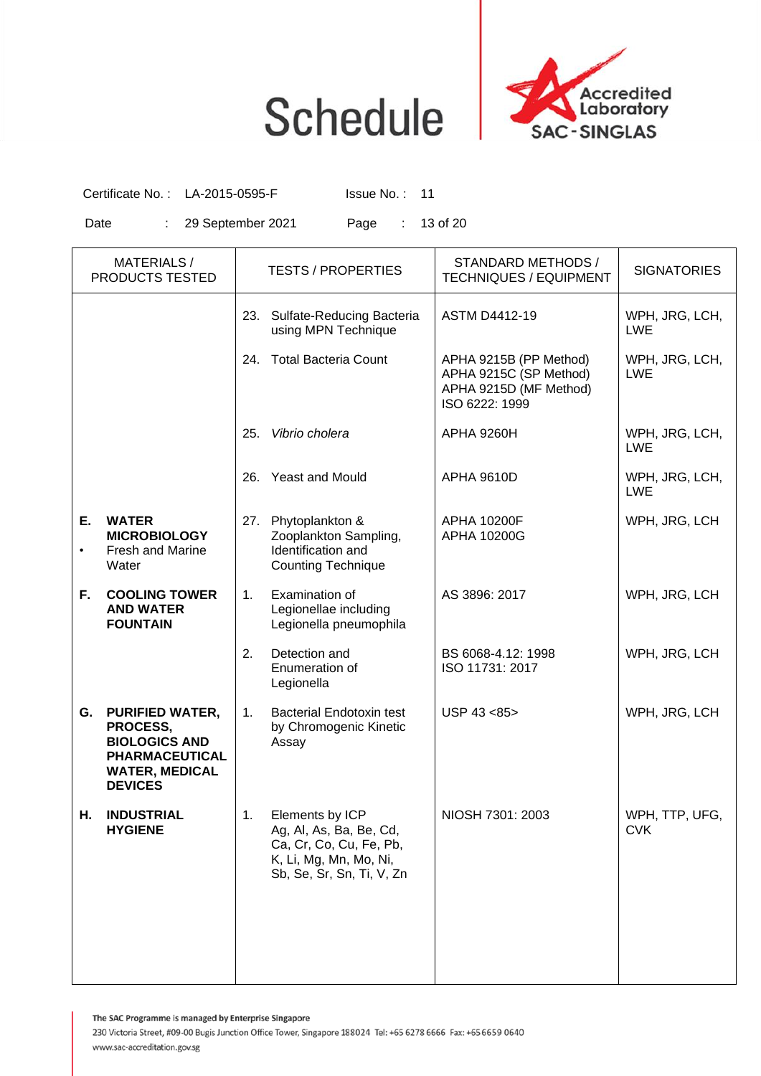

Certificate No.: LA-2015-0595-F Issue No.: 11

Date : 29 September 2021 Page : 13 of 20

|                 | <b>MATERIALS/</b><br>PRODUCTS TESTED                                                                                    |                | <b>TESTS / PROPERTIES</b>                                                                                                    | STANDARD METHODS /<br><b>TECHNIQUES / EQUIPMENT</b>                                          | <b>SIGNATORIES</b>           |
|-----------------|-------------------------------------------------------------------------------------------------------------------------|----------------|------------------------------------------------------------------------------------------------------------------------------|----------------------------------------------------------------------------------------------|------------------------------|
|                 |                                                                                                                         |                | 23. Sulfate-Reducing Bacteria<br>using MPN Technique                                                                         | <b>ASTM D4412-19</b>                                                                         | WPH, JRG, LCH,<br><b>LWE</b> |
|                 |                                                                                                                         | 24.            | <b>Total Bacteria Count</b>                                                                                                  | APHA 9215B (PP Method)<br>APHA 9215C (SP Method)<br>APHA 9215D (MF Method)<br>ISO 6222: 1999 | WPH, JRG, LCH,<br><b>LWE</b> |
|                 |                                                                                                                         | 25.            | Vibrio cholera                                                                                                               | <b>APHA 9260H</b>                                                                            | WPH, JRG, LCH,<br><b>LWE</b> |
|                 |                                                                                                                         | 26.            | <b>Yeast and Mould</b>                                                                                                       | <b>APHA 9610D</b>                                                                            | WPH, JRG, LCH,<br><b>LWE</b> |
| Е.<br>$\bullet$ | <b>WATER</b><br><b>MICROBIOLOGY</b><br><b>Fresh and Marine</b><br>Water                                                 | 27.            | Phytoplankton &<br>Zooplankton Sampling,<br>Identification and<br><b>Counting Technique</b>                                  | <b>APHA 10200F</b><br>APHA 10200G                                                            | WPH, JRG, LCH                |
| F.              | <b>COOLING TOWER</b><br><b>AND WATER</b><br><b>FOUNTAIN</b>                                                             | 1 <sub>1</sub> | Examination of<br>Legionellae including<br>Legionella pneumophila                                                            | AS 3896: 2017                                                                                | WPH, JRG, LCH                |
|                 |                                                                                                                         | 2.             | Detection and<br>Enumeration of<br>Legionella                                                                                | BS 6068-4.12: 1998<br>ISO 11731: 2017                                                        | WPH, JRG, LCH                |
| G.              | <b>PURIFIED WATER,</b><br>PROCESS,<br><b>BIOLOGICS AND</b><br>PHARMACEUTICAL<br><b>WATER, MEDICAL</b><br><b>DEVICES</b> | 1 <sub>1</sub> | <b>Bacterial Endotoxin test</b><br>by Chromogenic Kinetic<br>Assay                                                           | USP 43 <85>                                                                                  | WPH, JRG, LCH                |
| Н.              | <b>INDUSTRIAL</b><br><b>HYGIENE</b>                                                                                     | 1.             | Elements by ICP<br>Ag, Al, As, Ba, Be, Cd,<br>Ca, Cr, Co, Cu, Fe, Pb,<br>K, Li, Mg, Mn, Mo, Ni,<br>Sb, Se, Sr, Sn, Ti, V, Zn | NIOSH 7301: 2003                                                                             | WPH, TTP, UFG,<br><b>CVK</b> |
|                 |                                                                                                                         |                |                                                                                                                              |                                                                                              |                              |

The SAC Programme is managed by Enterprise Singapore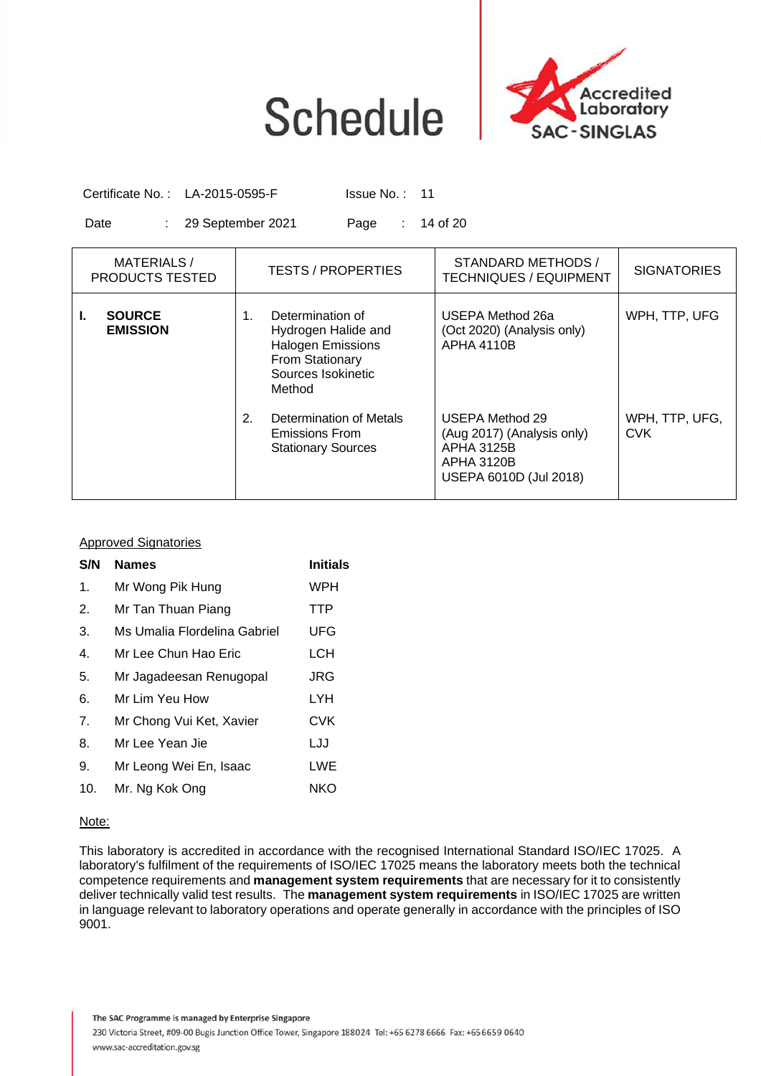

Certificate No.: LA-2015-0595-F Issue No.: 11

Date : 29 September 2021 Page : 14 of 20

| MATERIALS/<br>PRODUCTS TESTED          | <b>TESTS / PROPERTIES</b>                                                                                                    | STANDARD METHODS /<br><b>TECHNIQUES / EQUIPMENT</b>                                                               | <b>SIGNATORIES</b>           |
|----------------------------------------|------------------------------------------------------------------------------------------------------------------------------|-------------------------------------------------------------------------------------------------------------------|------------------------------|
| <b>SOURCE</b><br>I.<br><b>EMISSION</b> | Determination of<br>1.<br>Hydrogen Halide and<br><b>Halogen Emissions</b><br>From Stationary<br>Sources Isokinetic<br>Method | USEPA Method 26a<br>(Oct 2020) (Analysis only)<br><b>APHA 4110B</b>                                               | WPH, TTP, UFG                |
|                                        | 2.<br>Determination of Metals<br>Emissions From<br><b>Stationary Sources</b>                                                 | USEPA Method 29<br>(Aug 2017) (Analysis only)<br><b>APHA 3125B</b><br><b>APHA 3120B</b><br>USEPA 6010D (Jul 2018) | WPH, TTP, UFG,<br><b>CVK</b> |

### Approved Signatories

| S/N            | <b>Names</b>                 | <b>Initials</b> |
|----------------|------------------------------|-----------------|
| $\mathbf 1$ .  | Mr Wong Pik Hung             | WPH             |
| 2.             | Mr Tan Thuan Piang           | <b>TTP</b>      |
| 3.             | Ms Umalia Flordelina Gabriel | UFG             |
| $\mathbf{4}$ . | Mr Lee Chun Hao Eric         | LCH             |
| 5.             | Mr Jagadeesan Renugopal      | JRG             |
| 6.             | Mr Lim Yeu How               | LYH             |
| 7 <sub>1</sub> | Mr Chong Vui Ket, Xavier     | <b>CVK</b>      |
| 8.             | Mr Lee Yean Jie              | LJJ             |
| 9.             | Mr Leong Wei En, Isaac       | LWE             |
| 10.            | Mr. Ng Kok Ong               | NKO             |
|                |                              |                 |

### Note:

This laboratory is accredited in accordance with the recognised International Standard ISO/IEC 17025. A laboratory's fulfilment of the requirements of ISO/IEC 17025 means the laboratory meets both the technical competence requirements and **management system requirements** that are necessary for it to consistently deliver technically valid test results. The **management system requirements** in ISO/IEC 17025 are written in language relevant to laboratory operations and operate generally in accordance with the principles of ISO 9001.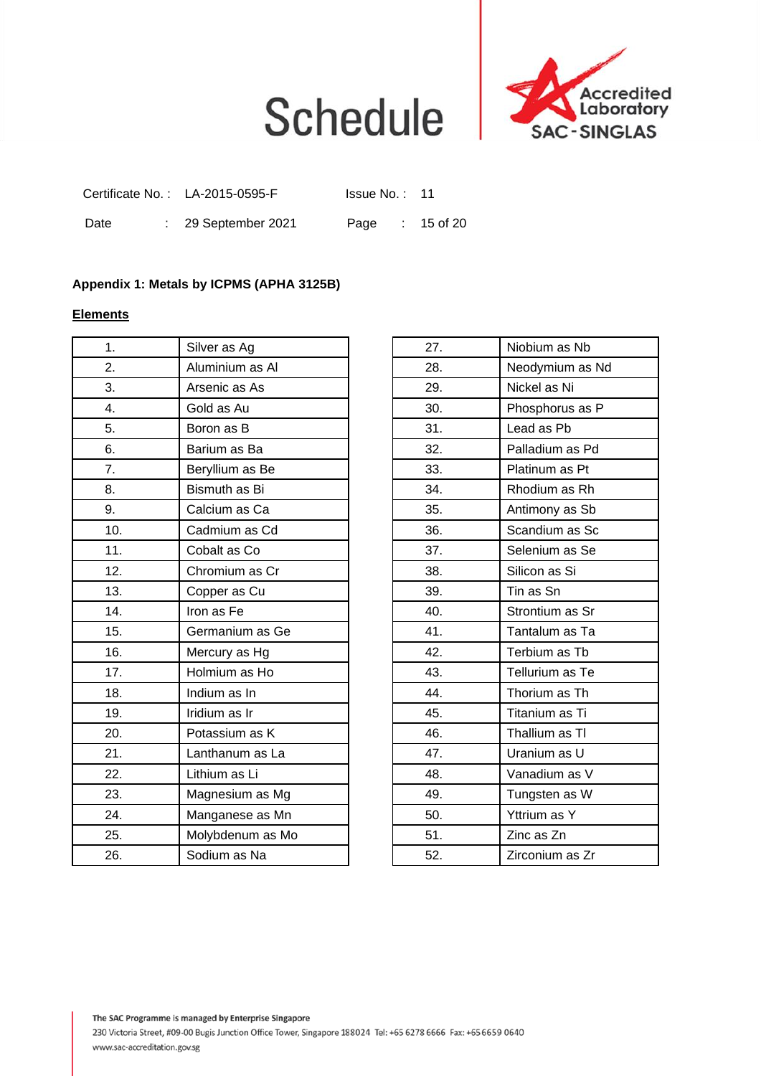

|      |  | Certificate No.: LA-2015-0595-F | Issue No.: 11   |  |
|------|--|---------------------------------|-----------------|--|
| Date |  | $\therefore$ 29 September 2021  | Page : 15 of 20 |  |

### **Appendix 1: Metals by ICPMS (APHA 3125B)**

### **Elements**

| 1.  | Silver as Ag     | 27. | Niobium as Nb   |
|-----|------------------|-----|-----------------|
| 2.  | Aluminium as Al  | 28. | Neodymium as Nd |
| 3.  | Arsenic as As    | 29. | Nickel as Ni    |
| 4.  | Gold as Au       | 30. | Phosphorus as P |
| 5.  | Boron as B       | 31. | Lead as Pb      |
| 6.  | Barium as Ba     | 32. | Palladium as Pd |
| 7.  | Beryllium as Be  | 33. | Platinum as Pt  |
| 8.  | Bismuth as Bi    | 34. | Rhodium as Rh   |
| 9.  | Calcium as Ca    | 35. | Antimony as Sb  |
| 10. | Cadmium as Cd    | 36. | Scandium as Sc  |
| 11. | Cobalt as Co     | 37. | Selenium as Se  |
| 12. | Chromium as Cr   | 38. | Silicon as Si   |
| 13. | Copper as Cu     | 39. | Tin as Sn       |
| 14. | Iron as Fe       | 40. | Strontium as Sr |
| 15. | Germanium as Ge  | 41. | Tantalum as Ta  |
| 16. | Mercury as Hg    | 42. | Terbium as Tb   |
| 17. | Holmium as Ho    | 43. | Tellurium as Te |
| 18. | Indium as In     | 44. | Thorium as Th   |
| 19. | Iridium as Ir    | 45. | Titanium as Ti  |
| 20. | Potassium as K   | 46. | Thallium as TI  |
| 21. | Lanthanum as La  | 47. | Uranium as U    |
| 22. | Lithium as Li    | 48. | Vanadium as V   |
| 23. | Magnesium as Mg  | 49. | Tungsten as W   |
| 24. | Manganese as Mn  | 50. | Yttrium as Y    |
| 25. | Molybdenum as Mo | 51. | Zinc as Zn      |
| 26. | Sodium as Na     | 52. | Zirconium as Zr |
|     |                  |     |                 |

| 27. | Niobium as Nb   |
|-----|-----------------|
| 28. | Neodymium as Nd |
| 29. | Nickel as Ni    |
| 30. | Phosphorus as P |
| 31. | Lead as Pb      |
| 32. | Palladium as Pd |
| 33. | Platinum as Pt  |
| 34. | Rhodium as Rh   |
| 35. | Antimony as Sb  |
| 36. | Scandium as Sc  |
| 37. | Selenium as Se  |
| 38. | Silicon as Si   |
| 39. | Tin as Sn       |
| 40. | Strontium as Sr |
| 41. | Tantalum as Ta  |
| 42. | Terbium as Tb   |
| 43. | Tellurium as Te |
| 44. | Thorium as Th   |
| 45. | Titanium as Ti  |
| 46. | Thallium as TI  |
| 47. | Uranium as U    |
| 48. | Vanadium as V   |
| 49. | Tungsten as W   |
| 50. | Yttrium as Y    |
| 51. | Zinc as Zn      |
| 52. | Zirconium as Zr |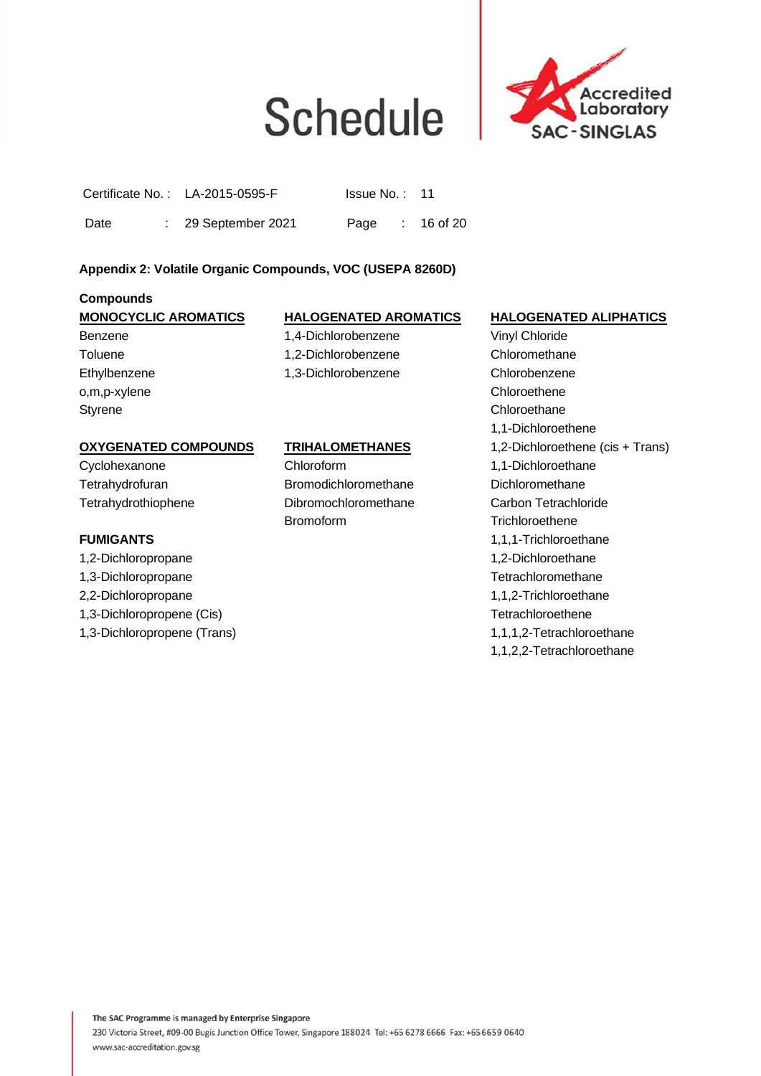

|  | Certificate No.: LA-2015-0595-F | Is sue No. : 11 |  |  |
|--|---------------------------------|-----------------|--|--|
|--|---------------------------------|-----------------|--|--|

Date : 29 September 2021 Page : 16 of 20

### **Appendix 2: Volatile Organic Compounds, VOC (USEPA 8260D)**

### **Compounds**

### **MONOCYCLIC AROMATICS HALOGENATED AROMATICS HALOGENATED ALIPHATICS**  Benzene 1,4-Dichlorobenzene Vinyl Chloride

o,m,p-xylene Chloroethene Styrene Chloroethane Character Character Character Character Character Character Character Character Character Character Character Character Character Character Character Character Character Character Character Character C

Toluene 1,2-Dichlorobenzene Chloromethane Ethylbenzene 1,3-Dichlorobenzene Chlorobenzene

### **OXYGENATED COMPOUNDS TRIHALOMETHANES** 1,2-Dichloroethene (cis + Trans)

1,2-Dichloropropane 1,2-Dichloroethane 1,3-Dichloropropane Tetrachloromethane 2,2-Dichloropropane 1,1,2-Trichloroethane 1,3-Dichloropropene (Cis) Tetrachloroethene

Cyclohexanone Chloroform 1,1-Dichloroethane Tetrahydrofuran Bromodichloromethane Dichloromethane Tetrahydrothiophene Dibromochloromethane Carbon Tetrachloride Bromoform Trichloroethene

1,1-Dichloroethene **FUMIGANTS** 1,1,1-Trichloroethane 1,3-Dichloropropene (Trans) 1,1,1,2-Tetrachloroethane 1,1,2,2-Tetrachloroethane

The SAC Programme is managed by Enterprise Singapore 230 Victoria Street, #09-00 Bugis Junction Office Tower, Singapore 188024 Tel: +65 6278 6666 Fax: +65 6659 0640 www.sac-accreditation.gov.sg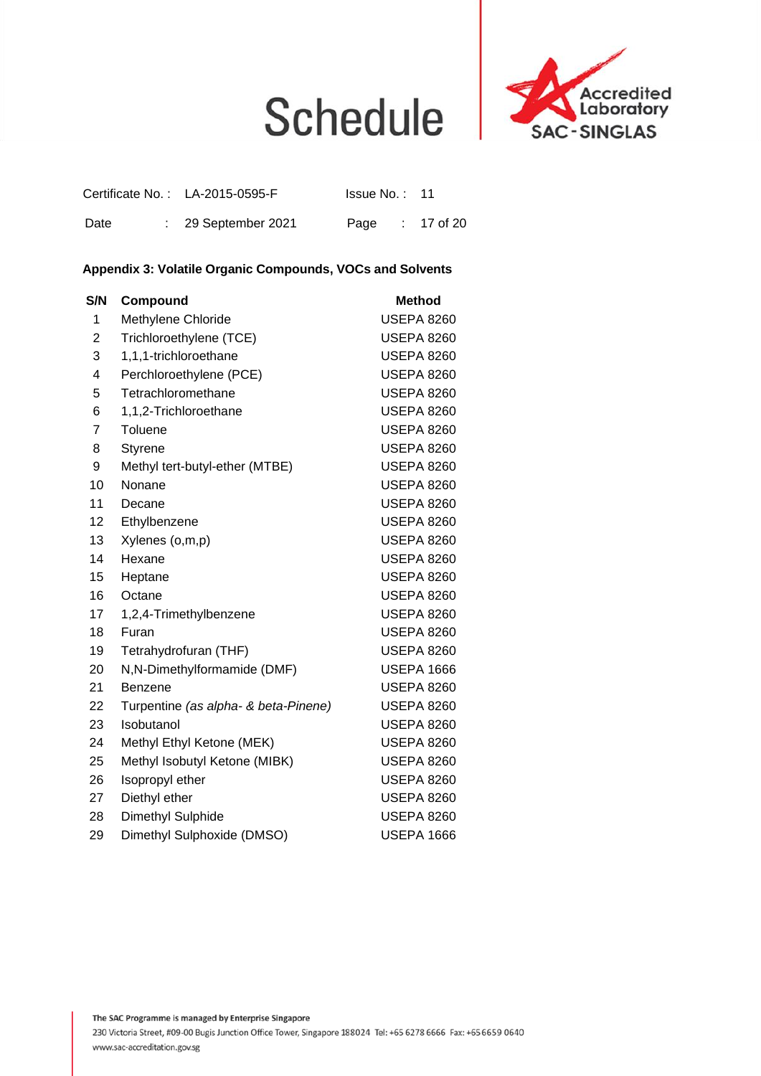

|      |  | Certificate No.: LA-2015-0595-F | Issue No.: 11   |  |
|------|--|---------------------------------|-----------------|--|
| Date |  | $\therefore$ 29 September 2021  | Page : 17 of 20 |  |

### **Appendix 3: Volatile Organic Compounds, VOCs and Solvents**

| S/N | Compound                             | <b>Method</b>     |
|-----|--------------------------------------|-------------------|
| 1   | Methylene Chloride                   | <b>USEPA 8260</b> |
| 2   | Trichloroethylene (TCE)              | <b>USEPA 8260</b> |
| 3   | 1,1,1-trichloroethane                | <b>USEPA 8260</b> |
| 4   | Perchloroethylene (PCE)              | <b>USEPA 8260</b> |
| 5   | Tetrachloromethane                   | <b>USEPA 8260</b> |
| 6   | 1,1,2-Trichloroethane                | <b>USEPA 8260</b> |
| 7   | Toluene                              | <b>USEPA 8260</b> |
| 8   | <b>Styrene</b>                       | <b>USEPA 8260</b> |
| 9   | Methyl tert-butyl-ether (MTBE)       | USEPA 8260        |
| 10  | Nonane                               | <b>USEPA 8260</b> |
| 11  | Decane                               | <b>USEPA 8260</b> |
| 12  | Ethylbenzene                         | USEPA 8260        |
| 13  | Xylenes (o,m,p)                      | <b>USEPA 8260</b> |
| 14  | Hexane                               | <b>USEPA 8260</b> |
| 15  | Heptane                              | <b>USEPA 8260</b> |
| 16  | Octane                               | <b>USEPA 8260</b> |
| 17  | 1,2,4-Trimethylbenzene               | <b>USEPA 8260</b> |
| 18  | Furan                                | <b>USEPA 8260</b> |
| 19  | Tetrahydrofuran (THF)                | USEPA 8260        |
| 20  | N,N-Dimethylformamide (DMF)          | <b>USEPA 1666</b> |
| 21  | Benzene                              | <b>USEPA 8260</b> |
| 22  | Turpentine (as alpha- & beta-Pinene) | <b>USEPA 8260</b> |
| 23  | Isobutanol                           | USEPA 8260        |
| 24  | Methyl Ethyl Ketone (MEK)            | <b>USEPA 8260</b> |
| 25  | Methyl Isobutyl Ketone (MIBK)        | <b>USEPA 8260</b> |
| 26  | Isopropyl ether                      | <b>USEPA 8260</b> |
| 27  | Diethyl ether                        | <b>USEPA 8260</b> |
| 28  | Dimethyl Sulphide                    | <b>USEPA 8260</b> |
| 29  | Dimethyl Sulphoxide (DMSO)           | <b>USEPA 1666</b> |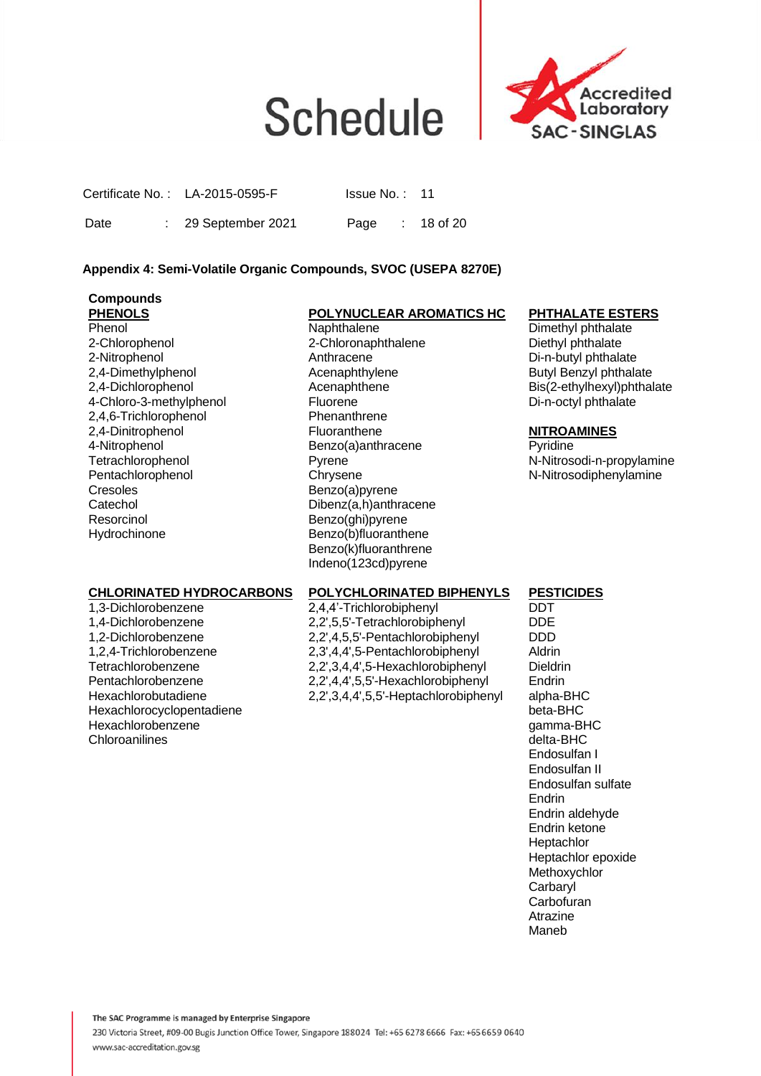

Certificate No.: LA-2015-0595-F Issue No.: 11

Date : 29 September 2021 Page : 18 of 20

### **Appendix 4: Semi-Volatile Organic Compounds, SVOC (USEPA 8270E)**

### **Compounds**

2,4,6-Trichlorophenol Phenanthrene Cresoles Benzo(a)pyrene<br>Catechol Dibenz(a,h)anthr Resorcinol Benzo(ghi)pyrene Hydrochinone Benzo(b)fluoranthene

### **PHENOLS POLYNUCLEAR AROMATICS HC PHTHALATE ESTERS**<br>
Phenol **Phenol Phenol**

2-Chlorophenol 2-Chloronaphthalene Diethyl phthalate<br>2-Nitrophenol 2-Chloronaphthalene 2-Nitrophenol Di-n-butyl phthalate 2,4-Dimethylphenol Acenaphthylene Butyl Benzyl phthalate 4-Chloro-3-methylphenol Fluorene Fluorene Di-n-octyl phthalate 2,4-Dinitrophenol **NITROAMINES**<br>4-Nitrophenol **Fluoranthene** Benzo(a)anthracene **Review Portional** Benzo(a)anthracene Pentachlorophenol Chrysene Chrysene N-Nitrosodiphenylamine<br>Cresoles Benzo(a)pyrene Cresoles Dibenz(a,h)anthracene Benzo(k)fluoranthrene Indeno(123cd)pyrene

Dimethyl phthalate Di-n-butyl phthalate 2.4-Dichlorophenol **Acenaphthene** Bis(2-ethylhexyl)phthalate

Tetrachlorophenol Pyrene N-Nitrosodi-n-propylamine

### **CHLORINATED HYDROCARBONS POLYCHLORINATED BIPHENYLS PESTICIDES**

Hexachlorocyclopentadiene<br>
Hexachlorobenzene beta-BHC<br>
Hexachlorobenzene beta-BHC Hexachlorobenzene gamma-BHC Chloroanilines

1,3-Dichlorobenzene 2,4,4'-Trichlorobiphenyl DDT 2,2',5,5'-Tetrachlorobiphenyl DDE<br>2.2',4.5.5'-Pentachlorobiphenyl DDD 1,2-Dichlorobenzene 2,2',4,5,5'-Pentachlorobiphenyl DDD<br>1.2.4-Trichlorobenzene 2.3',4,4',5-Pentachlorobiphenyl Aldrin 1,2,4-Trichlorobenzene 2,3',4,4',5-Pentachlorobiphenyl<br>Tetrachlorobenzene 2.2',3,4,4',5-Hexachlorobipheny 2,2',3,4,4',5-Hexachlorobiphenyl Dieldrin Pentachlorobenzene 2,2',4,4',5,5'-Hexachlorobiphenyl Endrin Hexachlorobutadiene 2,2',3,4,4',5,5'-Heptachlorobiphenyl alpha-BHC

Endosulfan I Endosulfan II Endosulfan sulfate Endrin Endrin aldehyde Endrin ketone **Heptachlor** Heptachlor epoxide Methoxychlor **Carbaryl Carbofuran** Atrazine Maneb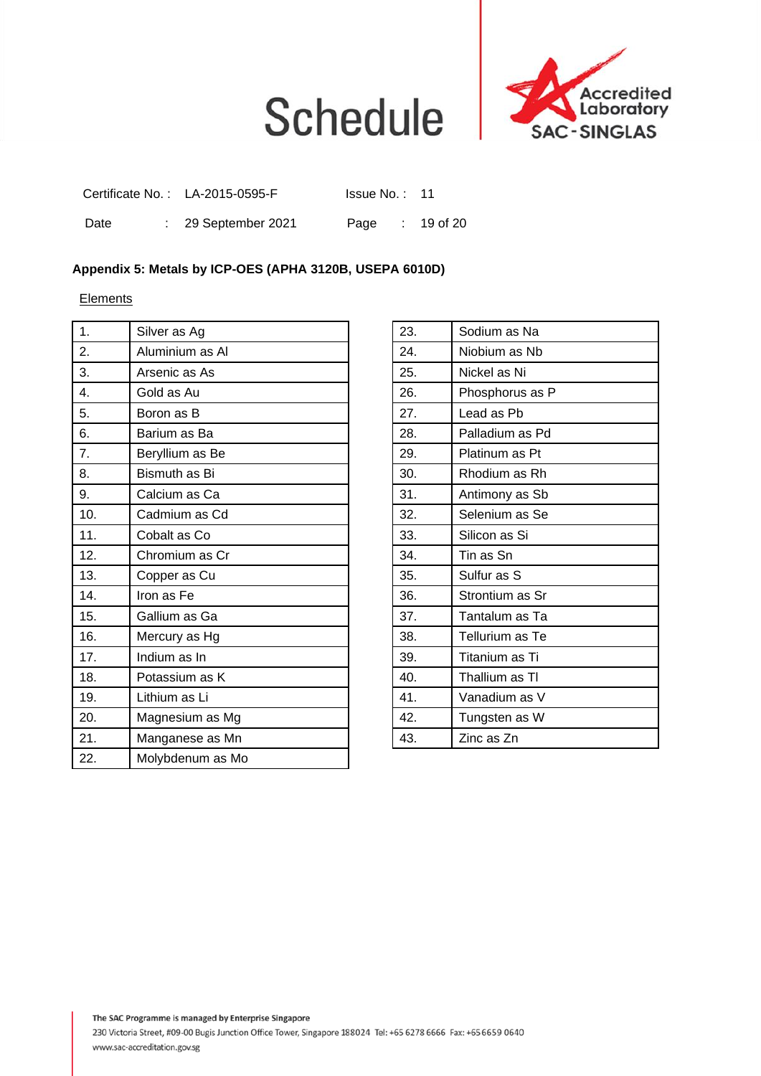

|      |  | Certificate No.: LA-2015-0595-F | Issue No.: 11   |  |
|------|--|---------------------------------|-----------------|--|
| Date |  | $\therefore$ 29 September 2021  | Page : 19 of 20 |  |

### **Appendix 5: Metals by ICP-OES (APHA 3120B, USEPA 6010D)**

**Elements** 

| 1.  | Silver as Ag     | 23. | Sodium as Na    |
|-----|------------------|-----|-----------------|
| 2.  | Aluminium as Al  | 24. | Niobium as Nb   |
| 3.  | Arsenic as As    | 25. | Nickel as Ni    |
| 4.  | Gold as Au       | 26. | Phosphorus as P |
| 5.  | Boron as B       | 27. | Lead as Pb      |
| 6.  | Barium as Ba     | 28. | Palladium as Pd |
| 7.  | Beryllium as Be  | 29. | Platinum as Pt  |
| 8.  | Bismuth as Bi    | 30. | Rhodium as Rh   |
| 9.  | Calcium as Ca    | 31. | Antimony as Sb  |
| 10. | Cadmium as Cd    | 32. | Selenium as Se  |
| 11. | Cobalt as Co     | 33. | Silicon as Si   |
| 12. | Chromium as Cr   | 34. | Tin as Sn       |
| 13. | Copper as Cu     | 35. | Sulfur as S     |
| 14. | Iron as Fe       | 36. | Strontium as Sr |
| 15. | Gallium as Ga    | 37. | Tantalum as Ta  |
| 16. | Mercury as Hg    | 38. | Tellurium as Te |
| 17. | Indium as In     | 39. | Titanium as Ti  |
| 18. | Potassium as K   | 40. | Thallium as TI  |
| 19. | Lithium as Li    | 41. | Vanadium as V   |
| 20. | Magnesium as Mg  | 42. | Tungsten as W   |
| 21. | Manganese as Mn  | 43. | Zinc as Zn      |
| 22. | Molybdenum as Mo |     |                 |
|     |                  |     |                 |

| Sodium as Na    |
|-----------------|
| Niobium as Nb   |
| Nickel as Ni    |
| Phosphorus as P |
| Lead as Pb      |
| Palladium as Pd |
| Platinum as Pt  |
| Rhodium as Rh   |
| Antimony as Sb  |
| Selenium as Se  |
| Silicon as Si   |
| Tin as Sn       |
| Sulfur as S     |
| Strontium as Sr |
| Tantalum as Ta  |
| Tellurium as Te |
| Titanium as Ti  |
| Thallium as TI  |
| Vanadium as V   |
| Tungsten as W   |
| Zinc as Zn      |
|                 |